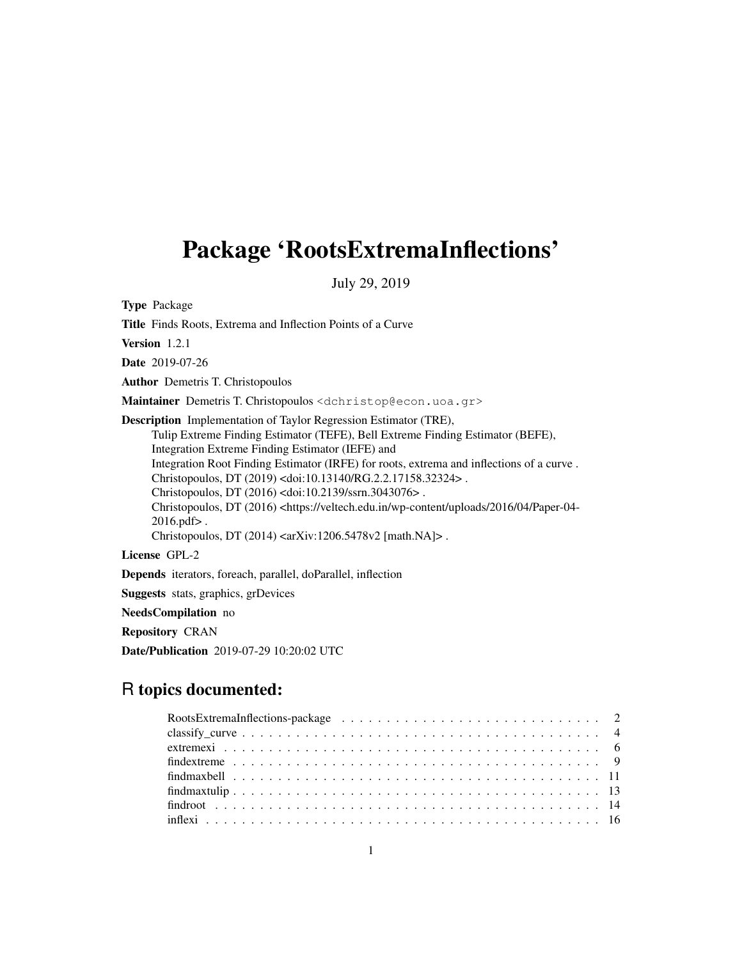# Package 'RootsExtremaInflections'

July 29, 2019

Type Package

Title Finds Roots, Extrema and Inflection Points of a Curve

Version 1.2.1

Date 2019-07-26

Author Demetris T. Christopoulos

Maintainer Demetris T. Christopoulos <dchristop@econ.uoa.gr>

Description Implementation of Taylor Regression Estimator (TRE), Tulip Extreme Finding Estimator (TEFE), Bell Extreme Finding Estimator (BEFE), Integration Extreme Finding Estimator (IEFE) and Integration Root Finding Estimator (IRFE) for roots, extrema and inflections of a curve . Christopoulos, DT (2019) <doi:10.13140/RG.2.2.17158.32324> . Christopoulos, DT (2016) <doi:10.2139/ssrn.3043076> . Christopoulos, DT (2016) <https://veltech.edu.in/wp-content/uploads/2016/04/Paper-04- 2016.pdf> . Christopoulos, DT (2014) <arXiv:1206.5478v2 [math.NA]> .

License GPL-2

Depends iterators, foreach, parallel, doParallel, inflection

Suggests stats, graphics, grDevices

NeedsCompilation no

Repository CRAN

Date/Publication 2019-07-29 10:20:02 UTC

# R topics documented: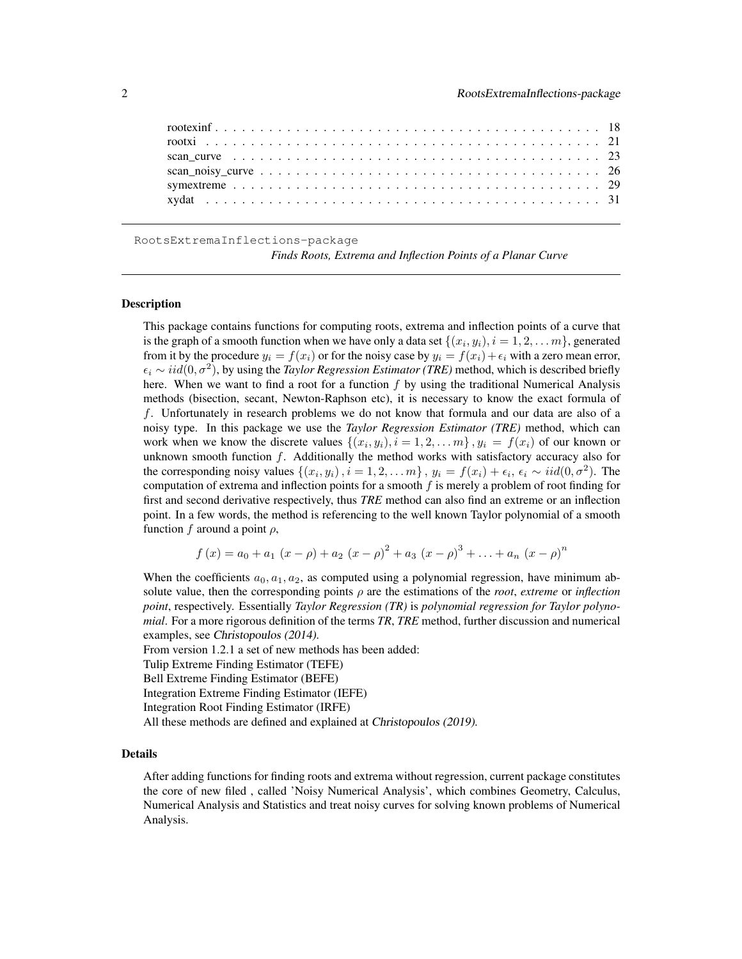RootsExtremaInflections-package

*Finds Roots, Extrema and Inflection Points of a Planar Curve*

### **Description**

This package contains functions for computing roots, extrema and inflection points of a curve that is the graph of a smooth function when we have only a data set  $\{(x_i, y_i), i = 1, 2, \ldots m\}$ , generated from it by the procedure  $y_i = f(x_i)$  or for the noisy case by  $y_i = f(x_i) + \epsilon_i$  with a zero mean error,  $\epsilon_i \sim iid(0, \sigma^2)$ , by using the *Taylor Regression Estimator (TRE)* method, which is described briefly here. When we want to find a root for a function  $f$  by using the traditional Numerical Analysis methods (bisection, secant, Newton-Raphson etc), it is necessary to know the exact formula of f. Unfortunately in research problems we do not know that formula and our data are also of a noisy type. In this package we use the *Taylor Regression Estimator (TRE)* method, which can work when we know the discrete values  $\{(x_i, y_i), i = 1, 2, \ldots m\}$ ,  $y_i = f(x_i)$  of our known or unknown smooth function  $f$ . Additionally the method works with satisfactory accuracy also for the corresponding noisy values  $\{(x_i, y_i), i = 1, 2, \dots m\}$ ,  $y_i = f(x_i) + \epsilon_i$ ,  $\epsilon_i \sim \text{iid}(0, \sigma^2)$ . The computation of extrema and inflection points for a smooth  $f$  is merely a problem of root finding for first and second derivative respectively, thus *TRE* method can also find an extreme or an inflection point. In a few words, the method is referencing to the well known Taylor polynomial of a smooth function f around a point  $\rho$ ,

$$
f(x) = a_0 + a_1 (x - \rho) + a_2 (x - \rho)^2 + a_3 (x - \rho)^3 + \ldots + a_n (x - \rho)^n
$$

When the coefficients  $a_0, a_1, a_2$ , as computed using a polynomial regression, have minimum absolute value, then the corresponding points  $\rho$  are the estimations of the *root*, *extreme* or *inflection point*, respectively. Essentially *Taylor Regression (TR)* is *polynomial regression for Taylor polynomial*. For a more rigorous definition of the terms *TR*, *TRE* method, further discussion and numerical examples, see Christopoulos (2014).

From version 1.2.1 a set of new methods has been added:

Tulip Extreme Finding Estimator (TEFE)

Bell Extreme Finding Estimator (BEFE)

Integration Extreme Finding Estimator (IEFE)

Integration Root Finding Estimator (IRFE)

All these methods are defined and explained at Christopoulos (2019).

### Details

After adding functions for finding roots and extrema without regression, current package constitutes the core of new filed , called 'Noisy Numerical Analysis', which combines Geometry, Calculus, Numerical Analysis and Statistics and treat noisy curves for solving known problems of Numerical Analysis.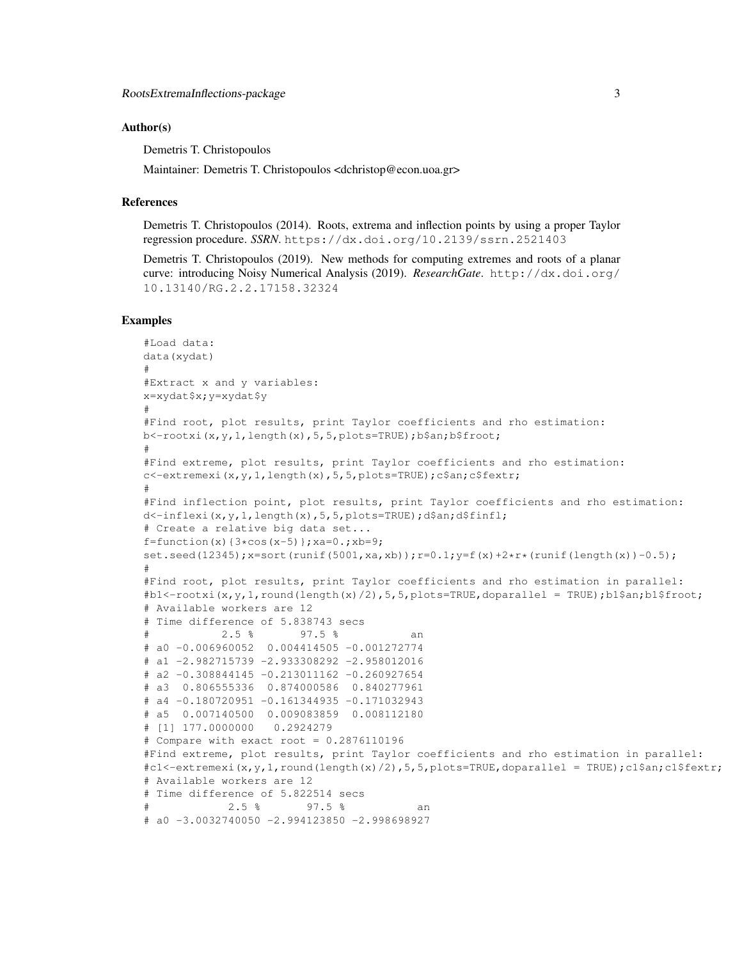### Author(s)

Demetris T. Christopoulos

Maintainer: Demetris T. Christopoulos <dchristop@econ.uoa.gr>

#### References

Demetris T. Christopoulos (2014). Roots, extrema and inflection points by using a proper Taylor regression procedure. *SSRN*. https://dx.doi.org/10.2139/ssrn.2521403

Demetris T. Christopoulos (2019). New methods for computing extremes and roots of a planar curve: introducing Noisy Numerical Analysis (2019). *ResearchGate*. http://dx.doi.org/ 10.13140/RG.2.2.17158.32324

```
#Load data:
data(xydat)
#
#Extract x and y variables:
x=xydat$x;y=xydat$y
#
#Find root, plot results, print Taylor coefficients and rho estimation:
b<-rootxi(x,y,1,length(x),5,5,plots=TRUE);b$an;b$froot;
#
#Find extreme, plot results, print Taylor coefficients and rho estimation:
c<-extremexi(x,y,1,length(x),5,5,plots=TRUE);c$an;c$fextr;
#
#Find inflection point, plot results, print Taylor coefficients and rho estimation:
d<-inflexi(x,y,1,length(x),5,5,plots=TRUE);d$an;d$finfl;
# Create a relative big data set...
f=function(x){3*cos(x-5)}; xa=0.; xb=9;
set.seed(12345);x=sort(runit(5001,xa,xb));r=0.1;y=f(x)+2*r*(runit(length(x))-0.5);
#
#Find root, plot results, print Taylor coefficients and rho estimation in parallel:
\#bl <-rootxi(x,y,1,round(length(x)/2),5,5,plots=TRUE,doparallel = TRUE);b1$an;b1$froot;
# Available workers are 12
# Time difference of 5.838743 secs
            2.5 % 97.5 % an
# a0 -0.006960052 0.004414505 -0.001272774
# a1 -2.982715739 -2.933308292 -2.958012016
# a2 -0.308844145 -0.213011162 -0.260927654
# a3 0.806555336 0.874000586 0.840277961
# a4 -0.180720951 -0.161344935 -0.171032943
# a5 0.007140500 0.009083859 0.008112180
# [1] 177.0000000 0.2924279
# Compare with exact root = 0.2876110196#Find extreme, plot results, print Taylor coefficients and rho estimation in parallel:
\text{#cl} < - \text{extremexi}(x, y, 1, r \text{ound}(\text{length}(x)/2), 5, 5, p \text{lots} = \text{TRUE}, \text{doparallel} = \text{TRUE}; c1$an;c1$fextr;
# Available workers are 12
# Time difference of 5.822514 secs
             2.5 % 97.5 % an
# a0 -3.0032740050 -2.994123850 -2.998698927
```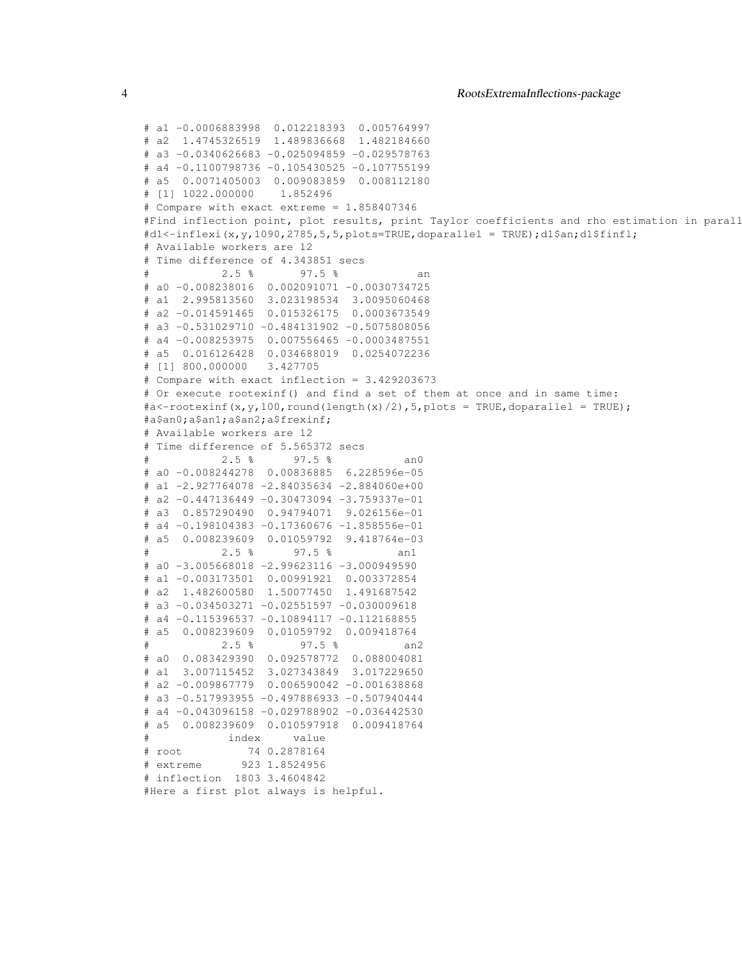```
# a1 -0.0006883998 0.012218393 0.005764997
# a2 1.4745326519 1.489836668 1.482184660
# a3 -0.0340626683 -0.025094859 -0.029578763
# a4 -0.1100798736 -0.105430525 -0.107755199
# a5 0.0071405003 0.009083859 0.008112180
# [1] 1022.000000 1.852496
# Compare with exact extreme = 1.858407346
#Find inflection point, plot results, print Taylor coefficients and rho estimation in parall
#d1<-inflexi(x,y,1090,2785,5,5,plots=TRUE,doparallel = TRUE);d1$an;d1$finfl;
# Available workers are 12
# Time difference of 4.343851 secs
           2.5 % 97.5 %
# a0 -0.008238016 0.002091071 -0.0030734725
# a1 2.995813560 3.023198534 3.0095060468
# a2 -0.014591465 0.015326175 0.0003673549
# a3 -0.531029710 -0.484131902 -0.5075808056
# a4 -0.008253975 0.007556465 -0.0003487551
# a5 0.016126428 0.034688019 0.0254072236
# [1] 800.000000 3.427705
# Compare with exact inflection = 3.429203673
# Or execute rootexinf() and find a set of them at once and in same time:
\#a \leftarrow root \exp(x, y, 100, round(\text{length}(x)/2), 5, plots = TRUE, doparallel = TRUE);#a$an0;a$an1;a$an2;a$frexinf;
# Available workers are 12
# Time difference of 5.565372 secs
           2.5 % 97.5 % an0
# a0 -0.008244278 0.00836885 6.228596e-05
# a1 -2.927764078 -2.84035634 -2.884060e+00
# a2 -0.447136449 -0.30473094 -3.759337e-01
# a3 0.857290490 0.94794071 9.026156e-01
# a4 -0.198104383 -0.17360676 -1.858556e-01
# a5 0.008239609 0.01059792 9.418764e-03
           2.5 % 97.5 % an1
# a0 -3.005668018 -2.99623116 -3.000949590
# a1 -0.003173501 0.00991921 0.003372854
# a2 1.482600580 1.50077450 1.491687542
# a3 -0.034503271 -0.02551597 -0.030009618# a4 -0.115396537 -0.10894117 -0.112168855
# a5 0.008239609 0.01059792 0.009418764
# 2.5 % 97.5 % an2
# a0 0.083429390 0.092578772 0.088004081
# a1 3.007115452 3.027343849 3.017229650
# a2 -0.009867779 0.006590042 -0.001638868
# a3 -0.517993955 -0.497886933 -0.507940444
# a4 -0.043096158 -0.029788902 -0.036442530
# a5 0.008239609 0.010597918 0.009418764
            index value
# root 74 0.2878164
# extreme 923 1.8524956
# inflection 1803 3.4604842
#Here a first plot always is helpful.
```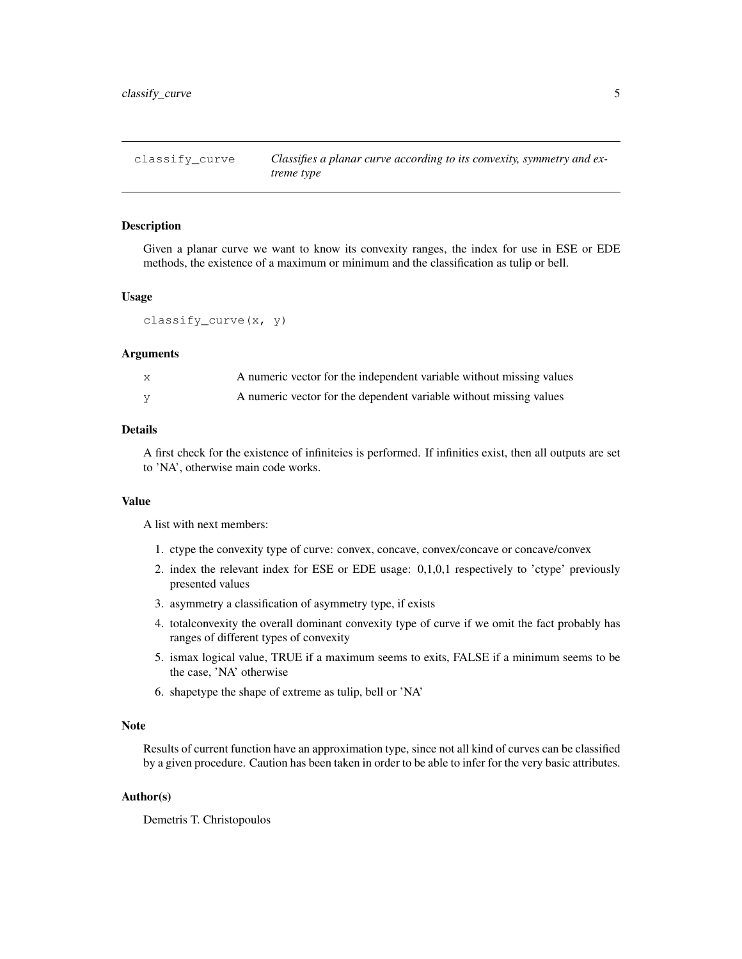### **Description**

Given a planar curve we want to know its convexity ranges, the index for use in ESE or EDE methods, the existence of a maximum or minimum and the classification as tulip or bell.

### Usage

```
classify_curve(x, y)
```
### Arguments

| A numeric vector for the independent variable without missing values |
|----------------------------------------------------------------------|
| A numeric vector for the dependent variable without missing values   |

### Details

A first check for the existence of infiniteies is performed. If infinities exist, then all outputs are set to 'NA', otherwise main code works.

### Value

A list with next members:

- 1. ctype the convexity type of curve: convex, concave, convex/concave or concave/convex
- 2. index the relevant index for ESE or EDE usage: 0,1,0,1 respectively to 'ctype' previously presented values
- 3. asymmetry a classification of asymmetry type, if exists
- 4. totalconvexity the overall dominant convexity type of curve if we omit the fact probably has ranges of different types of convexity
- 5. ismax logical value, TRUE if a maximum seems to exits, FALSE if a minimum seems to be the case, 'NA' otherwise
- 6. shapetype the shape of extreme as tulip, bell or 'NA'

### Note

Results of current function have an approximation type, since not all kind of curves can be classified by a given procedure. Caution has been taken in order to be able to infer for the very basic attributes.

### Author(s)

Demetris T. Christopoulos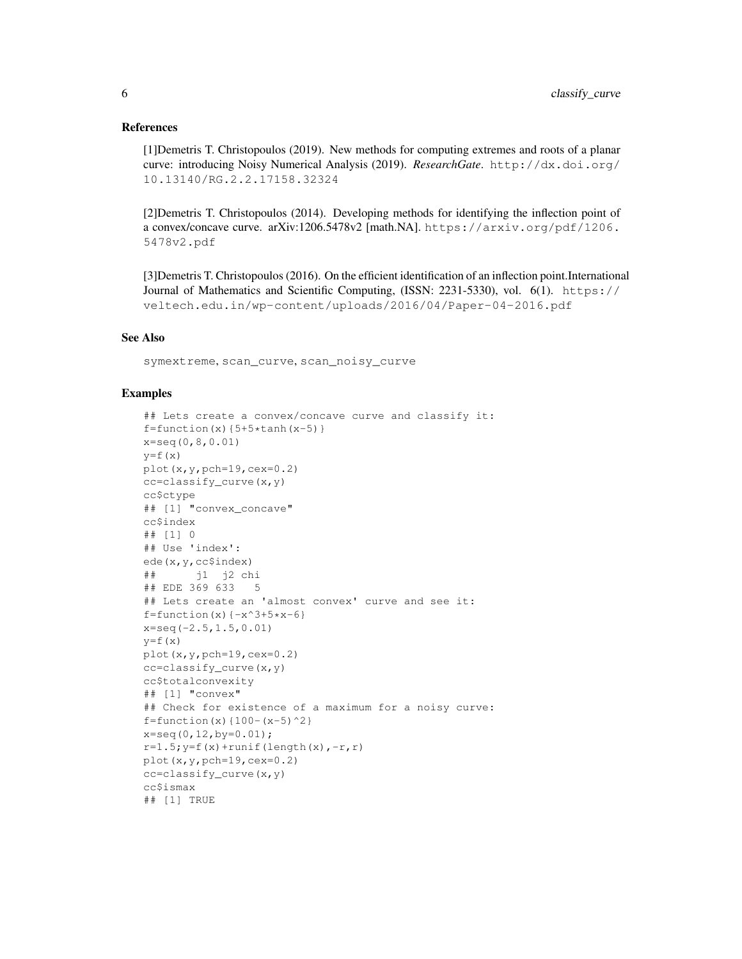### References

[1]Demetris T. Christopoulos (2019). New methods for computing extremes and roots of a planar curve: introducing Noisy Numerical Analysis (2019). *ResearchGate*. http://dx.doi.org/ 10.13140/RG.2.2.17158.32324

[2]Demetris T. Christopoulos (2014). Developing methods for identifying the inflection point of a convex/concave curve. arXiv:1206.5478v2 [math.NA]. https://arxiv.org/pdf/1206. 5478v2.pdf

[3]Demetris T. Christopoulos (2016). On the efficient identification of an inflection point.International Journal of Mathematics and Scientific Computing, (ISSN: 2231-5330), vol. 6(1). https:// veltech.edu.in/wp-content/uploads/2016/04/Paper-04-2016.pdf

### See Also

symextreme, scan\_curve, scan\_noisy\_curve

```
## Lets create a convex/concave curve and classify it:
f=function(x){5+5*tanh(x-5)}x=seq(0,8,0.01)
y=f(x)plot(x,y,pch=19,cex=0.2)
cc=classify_curve(x,y)
cc$ctype
## [1] "convex_concave"
cc$index
## [1] 0
## Use 'index':
ede(x,y,cc$index)
## j1 j2 chi
## EDE 369 633 5
## Lets create an 'almost convex' curve and see it:
f=function(x)\{-x^3+5*x-6\}x=seq(-2.5,1.5,0.01)
y=f(x)plot(x,y,pch=19,cex=0.2)
cc=classify_curve(x,y)
cc$totalconvexity
## [1] "convex"
## Check for existence of a maximum for a noisy curve:
f=function(x){100-(x-5)^2}x=seq(0,12,by=0.01);
r=1.5; y=f(x)+runit(length(x), -r, r)plot(x,y,pch=19,cex=0.2)
cc=classify_curve(x,y)
cc$ismax
## [1] TRUE
```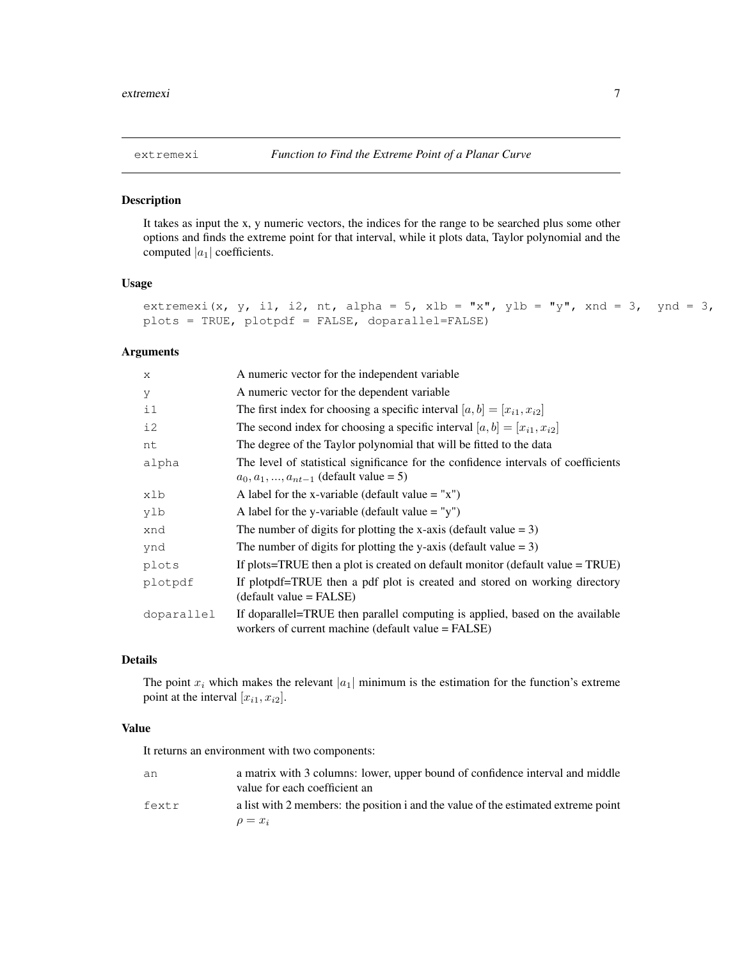### Description

It takes as input the x, y numeric vectors, the indices for the range to be searched plus some other options and finds the extreme point for that interval, while it plots data, Taylor polynomial and the computed  $|a_1|$  coefficients.

#### Usage

```
extremexi(x, y, i1, i2, nt, alpha = 5, xlb = "x", ylb = "y", xnd = 3, ynd = 3,
plots = TRUE, plotpdf = FALSE, doparallel=FALSE)
```
### Arguments

| $\mathbf{x}$ | A numeric vector for the independent variable                                                                                       |
|--------------|-------------------------------------------------------------------------------------------------------------------------------------|
| У            | A numeric vector for the dependent variable                                                                                         |
| $\pm 1$      | The first index for choosing a specific interval $[a, b] = [x_{i1}, x_{i2}]$                                                        |
| i2           | The second index for choosing a specific interval $[a, b] = [x_{i1}, x_{i2}]$                                                       |
| nt           | The degree of the Taylor polynomial that will be fitted to the data                                                                 |
| alpha        | The level of statistical significance for the confidence intervals of coefficients<br>$a_0, a_1, , a_{nt-1}$ (default value = 5)    |
| xlb          | A label for the x-variable (default value $=$ "x")                                                                                  |
| ylb          | A label for the y-variable (default value $=$ "y")                                                                                  |
| xnd          | The number of digits for plotting the x-axis (default value $= 3$ )                                                                 |
| ynd          | The number of digits for plotting the y-axis (default value $= 3$ )                                                                 |
| plots        | If plots=TRUE then a plot is created on default monitor (default value $=$ TRUE)                                                    |
| plotpdf      | If plotpdf=TRUE then a pdf plot is created and stored on working directory<br>$(detault value = FALSE)$                             |
| doparallel   | If doparallel=TRUE then parallel computing is applied, based on the available<br>workers of current machine (default value = FALSE) |

### Details

The point  $x_i$  which makes the relevant  $|a_1|$  minimum is the estimation for the function's extreme point at the interval  $[x_{i1}, x_{i2}]$ .

### Value

It returns an environment with two components:

| an    | a matrix with 3 columns: lower, upper bound of confidence interval and middle<br>value for each coefficient an |
|-------|----------------------------------------------------------------------------------------------------------------|
| fextr | a list with 2 members: the position i and the value of the estimated extreme point                             |
|       | $\rho = x_i$                                                                                                   |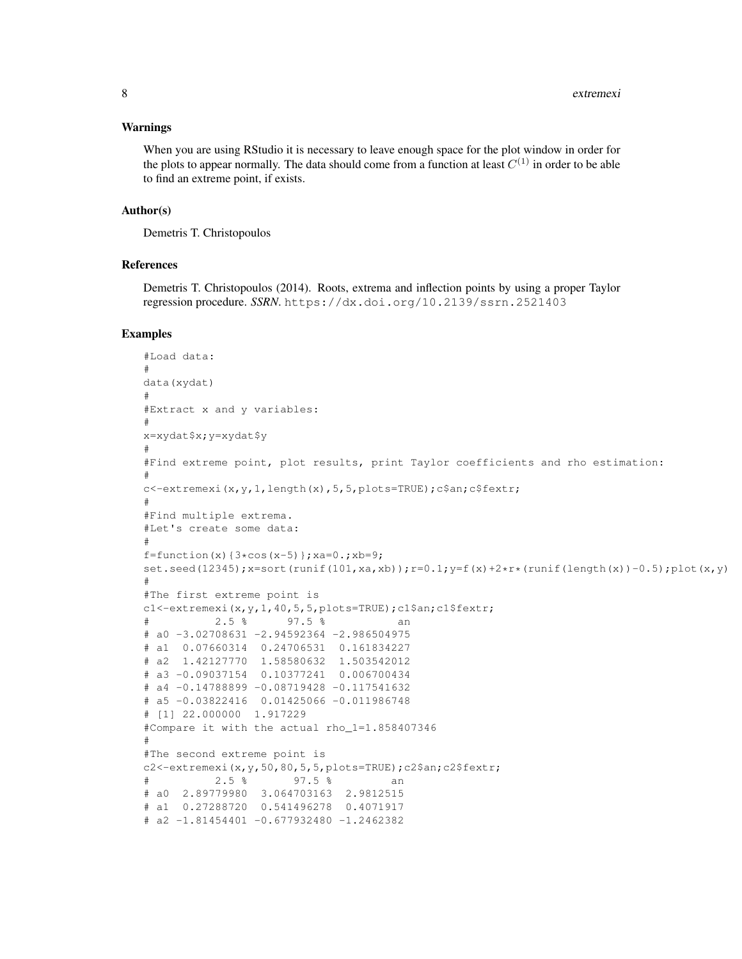#### Warnings

When you are using RStudio it is necessary to leave enough space for the plot window in order for the plots to appear normally. The data should come from a function at least  $C^{(1)}$  in order to be able to find an extreme point, if exists.

#### Author(s)

Demetris T. Christopoulos

### References

Demetris T. Christopoulos (2014). Roots, extrema and inflection points by using a proper Taylor regression procedure. *SSRN*. https://dx.doi.org/10.2139/ssrn.2521403

```
#Load data:
#
data(xydat)
#
#Extract x and y variables:
#
x=xydat$x;y=xydat$y
#
#Find extreme point, plot results, print Taylor coefficients and rho estimation:
#
c<-extremexi(x,y,1,length(x),5,5,plots=TRUE);c$an;c$fextr;
#
#Find multiple extrema.
#Let's create some data:
#
f=function(x){3*cos(x-5)};xa=0.;xb=9;
set.seed(12345);x=sort(runit(101,xa,xb));r=0.1;y=f(x)+2*x*(runif(lenqth(x))-0.5);plot(x,y)#
#The first extreme point is
c1<-extremexi(x,y,1,40,5,5,plots=TRUE);c1$an;c1$fextr;
# 2.5 % 97.5 % an
# a0 -3.02708631 -2.94592364 -2.986504975
# a1 0.07660314 0.24706531 0.161834227
# a2 1.42127770 1.58580632 1.503542012
# a3 -0.09037154 0.10377241 0.006700434
# a4 -0.14788899 -0.08719428 -0.117541632
# a5 -0.03822416 0.01425066 -0.011986748
# [1] 22.000000 1.917229
#Compare it with the actual rho_1=1.858407346
#
#The second extreme point is
c2<-extremexi(x,y,50,80,5,5,plots=TRUE);c2$an;c2$fextr;
# 2.5 % 97.5 % an
# a0 2.89779980 3.064703163 2.9812515
# a1 0.27288720 0.541496278 0.4071917
# a2 -1.81454401 -0.677932480 -1.2462382
```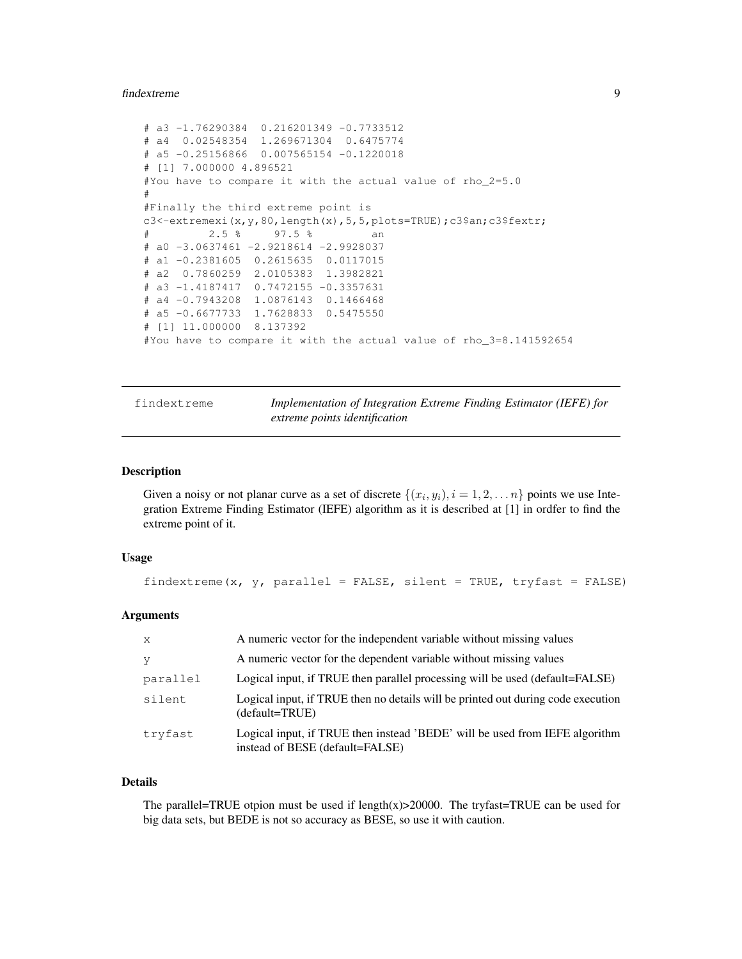#### findextreme 9

```
# a3 -1.76290384 0.216201349 -0.7733512
# a4 0.02548354 1.269671304 0.6475774
# a5 -0.25156866 0.007565154 -0.1220018
# [1] 7.000000 4.896521
#You have to compare it with the actual value of rho_2=5.0
#
#Finally the third extreme point is
c3<-extremexi(x, y, 80, length(x), 5, 5, plots=TRUE);c3$an;c3$fextr;
# 2.5 % 97.5 % an
# a0 -3.0637461 -2.9218614 -2.9928037
# a1 -0.2381605 0.2615635 0.0117015
# a2 0.7860259 2.0105383 1.3982821
# a3 -1.4187417 0.7472155 -0.3357631
# a4 -0.7943208 1.0876143 0.1466468
# a5 -0.6677733 1.7628833 0.5475550
# [1] 11.000000 8.137392
#You have to compare it with the actual value of rho_3=8.141592654
```
findextreme *Implementation of Integration Extreme Finding Estimator (IEFE) for extreme points identification*

### Description

Given a noisy or not planar curve as a set of discrete  $\{(x_i, y_i), i = 1, 2, \dots n\}$  points we use Integration Extreme Finding Estimator (IEFE) algorithm as it is described at [1] in ordfer to find the extreme point of it.

### Usage

findextreme(x,  $y$ , parallel = FALSE, silent = TRUE, tryfast = FALSE)

#### Arguments

| $\mathbf{x}$ | A numeric vector for the independent variable without missing values                                           |
|--------------|----------------------------------------------------------------------------------------------------------------|
| - V          | A numeric vector for the dependent variable without missing values                                             |
| parallel     | Logical input, if TRUE then parallel processing will be used (default=FALSE)                                   |
| silent       | Logical input, if TRUE then no details will be printed out during code execution<br>(default=TRUE)             |
| tryfast      | Logical input, if TRUE then instead 'BEDE' will be used from IEFE algorithm<br>instead of BESE (default=FALSE) |

### Details

The parallel=TRUE otpion must be used if length $(x)$ >20000. The tryfast=TRUE can be used for big data sets, but BEDE is not so accuracy as BESE, so use it with caution.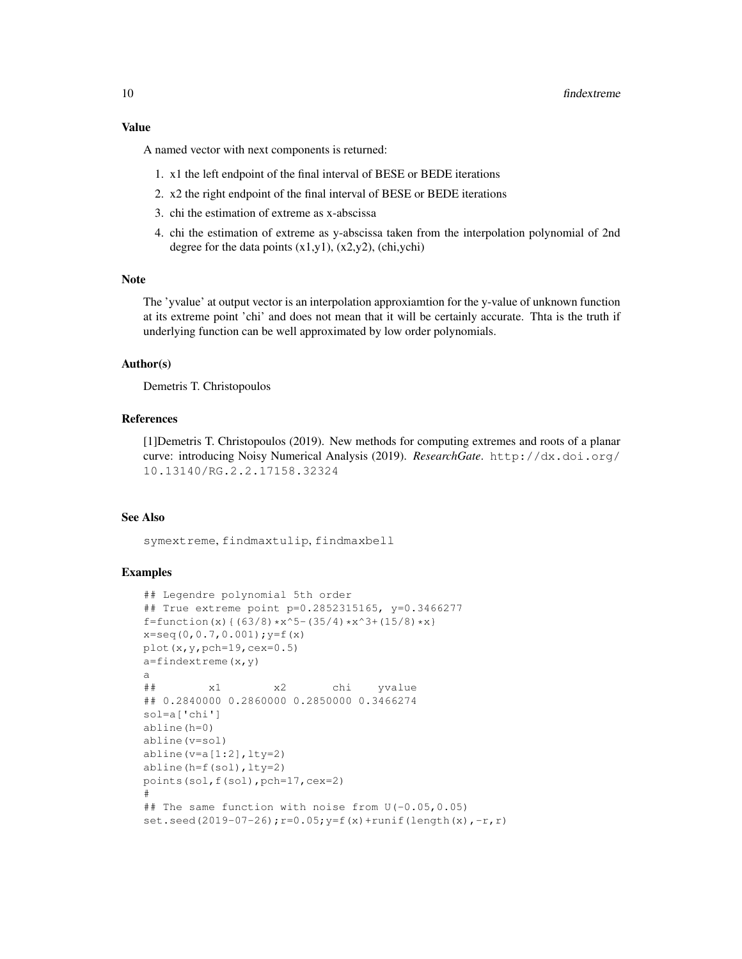### Value

A named vector with next components is returned:

- 1. x1 the left endpoint of the final interval of BESE or BEDE iterations
- 2. x2 the right endpoint of the final interval of BESE or BEDE iterations
- 3. chi the estimation of extreme as x-abscissa
- 4. chi the estimation of extreme as y-abscissa taken from the interpolation polynomial of 2nd degree for the data points  $(x1,y1)$ ,  $(x2,y2)$ , (chi,ychi)

### Note

The 'yvalue' at output vector is an interpolation approxiamtion for the y-value of unknown function at its extreme point 'chi' and does not mean that it will be certainly accurate. Thta is the truth if underlying function can be well approximated by low order polynomials.

#### Author(s)

Demetris T. Christopoulos

### References

[1]Demetris T. Christopoulos (2019). New methods for computing extremes and roots of a planar curve: introducing Noisy Numerical Analysis (2019). *ResearchGate*. http://dx.doi.org/ 10.13140/RG.2.2.17158.32324

#### See Also

symextreme, findmaxtulip, findmaxbell

```
## Legendre polynomial 5th order
## True extreme point p=0.2852315165, y=0.3466277
f=function(x){(63/8)*x^5-(35/4)*x^3+(15/8)*x}
x=seq(0,0.7,0.001);y=f(x)
plot(x,y,pch=19,cex=0.5)
a=findextree(x,y)
a
## x1 x2 chi yvalue
## 0.2840000 0.2860000 0.2850000 0.3466274
sol=a['chi']
abline(h=0)
abline(v=sol)
abline(v=a[1:2], lty=2)abline(h=f(sol),lty=2)
points(sol,f(sol),pch=17,cex=2)
#
## The same function with noise from U(-0.05,0.05)
set.seed(2019-07-26);r=0.05;y=f(x)+runif(length(x),-r,r)
```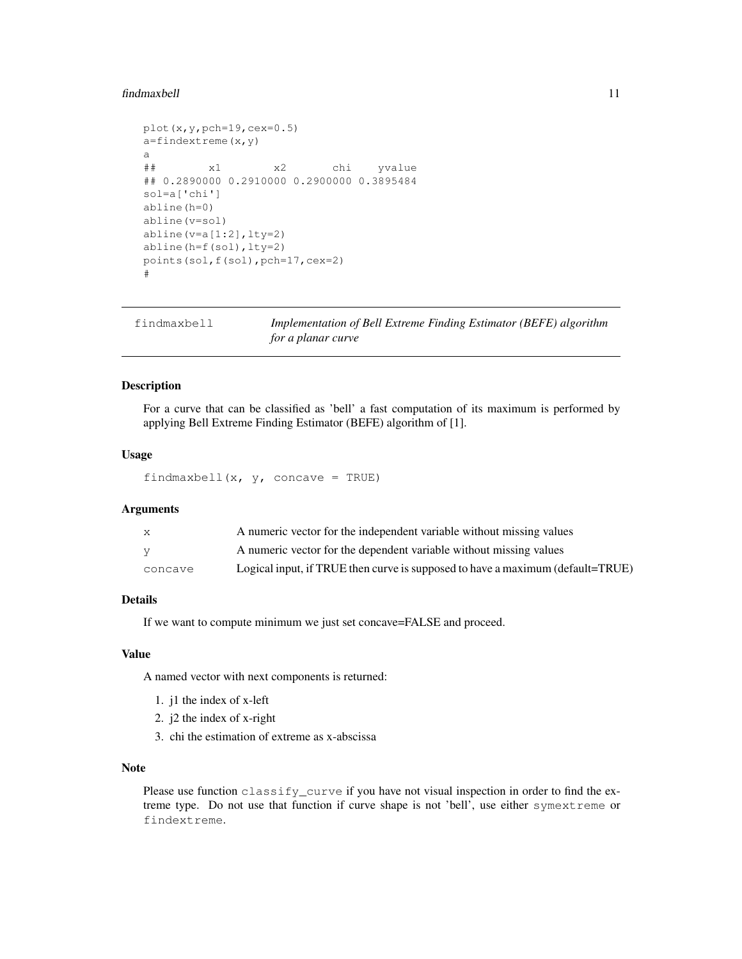#### findmaxbell the contract of the contract of the contract of the contract of the contract of the contract of the contract of the contract of the contract of the contract of the contract of the contract of the contract of th

```
plot(x,y,pch=19,cex=0.5)a=findextreme(x,y)
a
## x1 x2 chi yvalue
## 0.2890000 0.2910000 0.2900000 0.3895484
sol=a['chi']
abline(h=0)
abline(v=sol)
abline(v=a[1:2], lty=2)abline(h=f(sol),lty=2)
points(sol,f(sol),pch=17,cex=2)
#
```

| findmaxbell | Implementation of Bell Extreme Finding Estimator (BEFE) algorithm |
|-------------|-------------------------------------------------------------------|
|             | for a planar curve                                                |

### Description

For a curve that can be classified as 'bell' a fast computation of its maximum is performed by applying Bell Extreme Finding Estimator (BEFE) algorithm of [1].

### Usage

findmaxbell(x,  $y$ , concave = TRUE)

### Arguments

| X       | A numeric vector for the independent variable without missing values           |
|---------|--------------------------------------------------------------------------------|
| V       | A numeric vector for the dependent variable without missing values             |
| concave | Logical input, if TRUE then curve is supposed to have a maximum (default=TRUE) |

### Details

If we want to compute minimum we just set concave=FALSE and proceed.

#### Value

A named vector with next components is returned:

- 1. j1 the index of x-left
- 2. j2 the index of x-right
- 3. chi the estimation of extreme as x-abscissa

### Note

Please use function classify\_curve if you have not visual inspection in order to find the extreme type. Do not use that function if curve shape is not 'bell', use either symextreme or findextreme.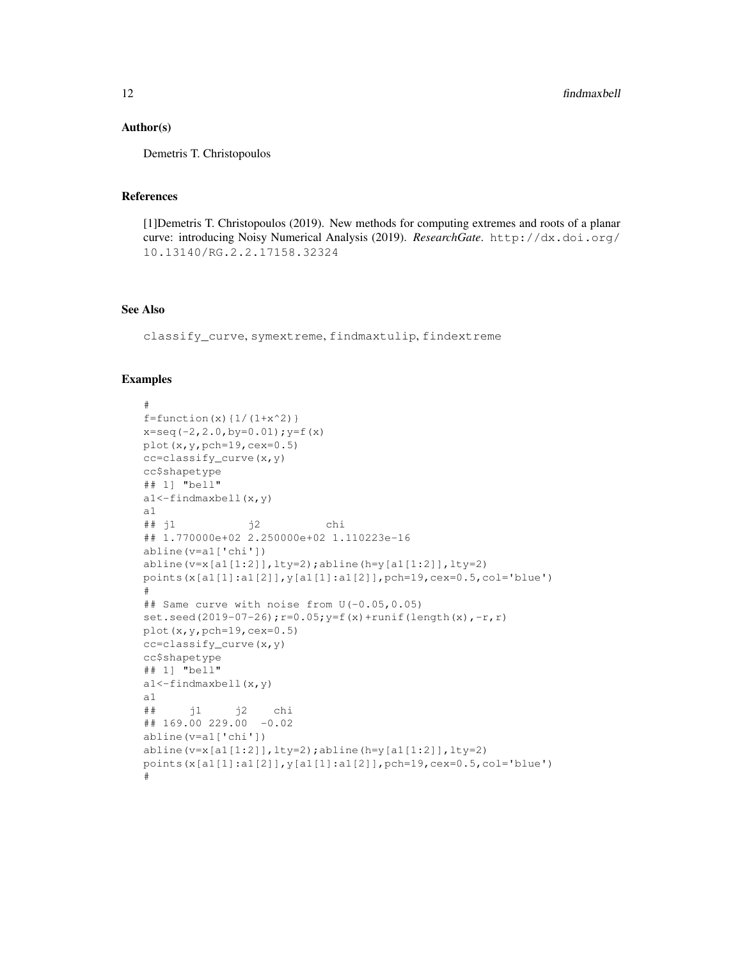### Author(s)

Demetris T. Christopoulos

#### References

[1]Demetris T. Christopoulos (2019). New methods for computing extremes and roots of a planar curve: introducing Noisy Numerical Analysis (2019). *ResearchGate*. http://dx.doi.org/ 10.13140/RG.2.2.17158.32324

### See Also

classify\_curve, symextreme, findmaxtulip, findextreme

```
#
f=function(x)\{1/(1+x^2)\}x=seq(-2,2.0,by=0.01);y=f(x)plot(x,y,pch=19,cex=0.5)
cc=classify_curve(x,y)
cc$shapetype
## 1] "bell"
a1<-findmaxbell(x,y)
a1
## j1 j2 chi
## 1.770000e+02 2.250000e+02 1.110223e-16
abline(v=a1['chi'])
abline(v=x[a1[1:2]], lty=2);abline(h=y[a1[1:2]], lty=2)
points(x[a1[1]:a1[2]],y[a1[1]:a1[2]],pch=19,cex=0.5,col='blue')
#
## Same curve with noise from U(-0.05,0.05)
set.seed(2019-07-26);r=0.05;y=f(x)+runif(length(x),-r,r)
plot(x,y,pch=19,cex=0.5)
cc=classify_curve(x,y)
cc$shapetype
## 1] "bell"
a1<-findmaxbell(x,y)
a1
## j1 j2 chi
## 169.00 229.00 -0.02
abline(v=a1['chi'])
abline(v=x[a1[1:2]], lty=2);abline(h=y[a1[1:2]], lty=2)
points(x[a1[1]:a1[2]],y[a1[1]:a1[2]],pch=19,cex=0.5,col='blue')
#
```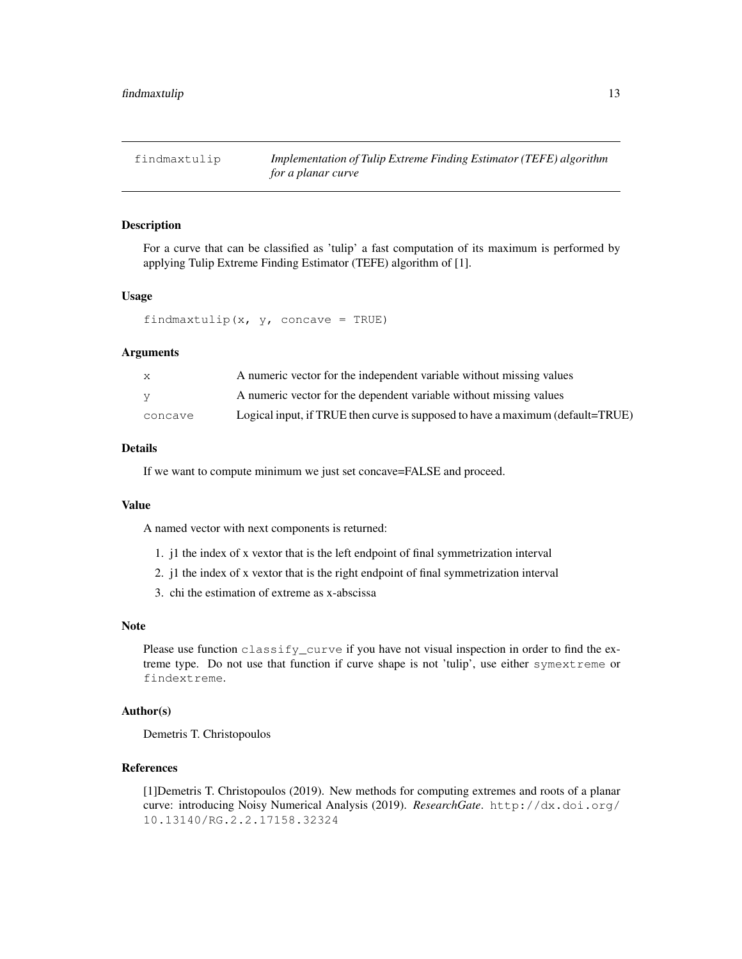### Description

For a curve that can be classified as 'tulip' a fast computation of its maximum is performed by applying Tulip Extreme Finding Estimator (TEFE) algorithm of [1].

### Usage

```
findmaxtulip(x, y, concave = TRUE)
```
### Arguments

| X       | A numeric vector for the independent variable without missing values           |
|---------|--------------------------------------------------------------------------------|
| V       | A numeric vector for the dependent variable without missing values             |
| concave | Logical input, if TRUE then curve is supposed to have a maximum (default=TRUE) |

### Details

If we want to compute minimum we just set concave=FALSE and proceed.

#### Value

A named vector with next components is returned:

- 1. j1 the index of x vextor that is the left endpoint of final symmetrization interval
- 2. j1 the index of x vextor that is the right endpoint of final symmetrization interval
- 3. chi the estimation of extreme as x-abscissa

#### Note

Please use function classify\_curve if you have not visual inspection in order to find the extreme type. Do not use that function if curve shape is not 'tulip', use either symextreme or findextreme.

### Author(s)

Demetris T. Christopoulos

### References

[1]Demetris T. Christopoulos (2019). New methods for computing extremes and roots of a planar curve: introducing Noisy Numerical Analysis (2019). *ResearchGate*. http://dx.doi.org/ 10.13140/RG.2.2.17158.32324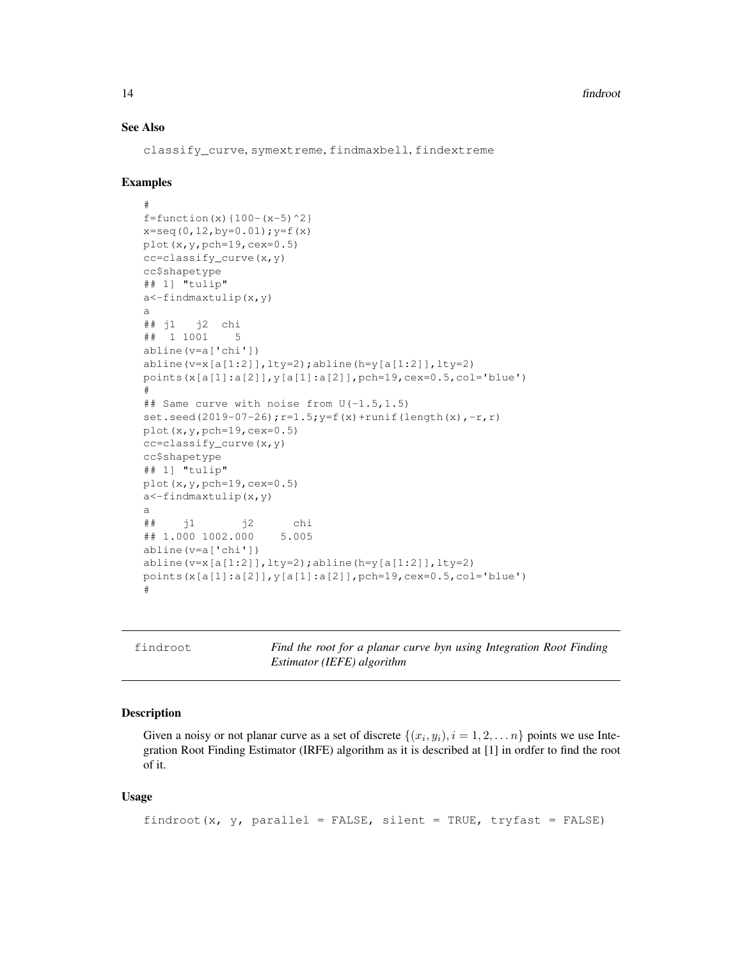### See Also

classify\_curve, symextreme, findmaxbell, findextreme

#### Examples

```
#
f=function(x){100-(x-5)^2}x=seq(0,12,by=0.01);y=f(x)
plot(x,y,pch=19,cex=0.5)
cc=classify_curve(x,y)
cc$shapetype
## 1] "tulip"
a<-findmaxtulip(x,y)
a
## j1 j2 chi
## 1 1001 5
abline(v=a['chi'])
abline(v=x[a[1:2]], lty=2); abline(h=y[a[1:2]], lty=2)
points(x[a[1]:a[2]],y[a[1]:a[2]],pch=19,cex=0.5,col='blue')
#
## Same curve with noise from U(-1.5,1.5)
set.seed(2019-07-26);r=1.5; y=f(x)+runit(length(x),-r,r)plot(x,y,pch=19,cex=0.5)
cc=classify_curve(x,y)
cc$shapetype
## 1] "tulip"
plot(x,y,pch=19,cex=0.5)
a<-findmaxtulip(x,y)
a
## j1 j2 chi
## 1.000 1002.000 5.005
abline(v=a['chi'])
abline(v=x[a[1:2]], lty=2);abline(h=y[a[1:2]], lty=2)
points(x[a[1]:a[2]],y[a[1]:a[2]],pch=19,cex=0.5,col='blue')
#
```
findroot *Find the root for a planar curve byn using Integration Root Finding Estimator (IEFE) algorithm*

### Description

Given a noisy or not planar curve as a set of discrete  $\{(x_i, y_i), i = 1, 2, \dots n\}$  points we use Integration Root Finding Estimator (IRFE) algorithm as it is described at [1] in ordfer to find the root of it.

### Usage

```
findroot(x, y, parallel = FALSE, silent = TRUE, tryfast = FALSE)
```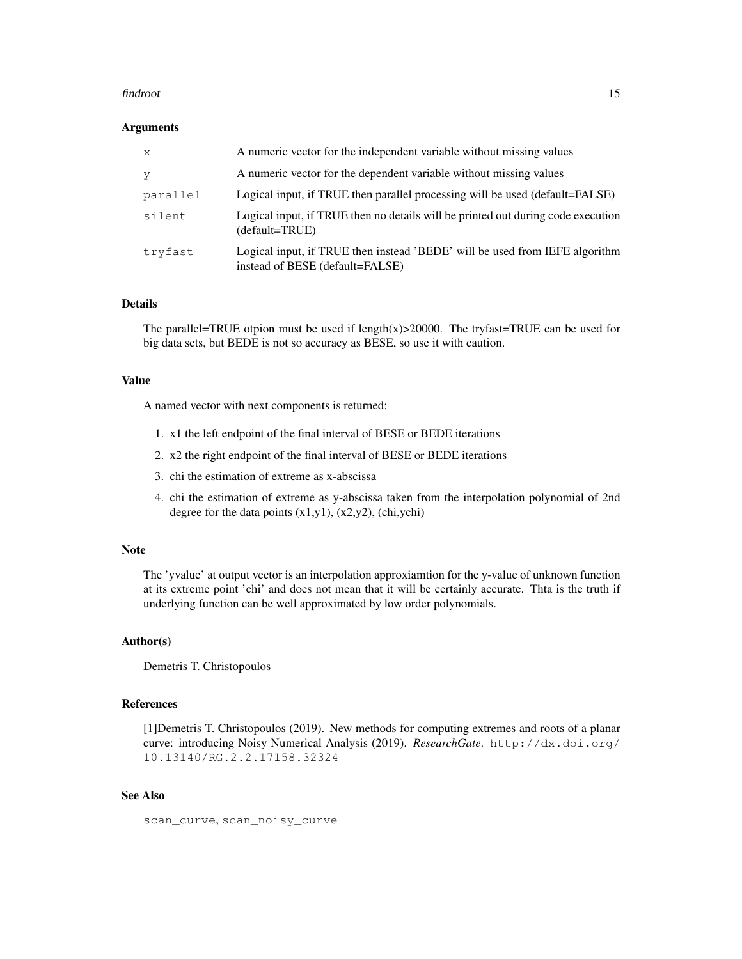#### findroot 15

#### Arguments

| $\mathbf{x}$ | A numeric vector for the independent variable without missing values                                           |
|--------------|----------------------------------------------------------------------------------------------------------------|
| V            | A numeric vector for the dependent variable without missing values                                             |
| parallel     | Logical input, if TRUE then parallel processing will be used (default=FALSE)                                   |
| silent       | Logical input, if TRUE then no details will be printed out during code execution<br>(default=TRUE)             |
| tryfast      | Logical input, if TRUE then instead 'BEDE' will be used from IEFE algorithm<br>instead of BESE (default=FALSE) |

#### Details

The parallel=TRUE otpion must be used if length $(x)$ >20000. The tryfast=TRUE can be used for big data sets, but BEDE is not so accuracy as BESE, so use it with caution.

### Value

A named vector with next components is returned:

- 1. x1 the left endpoint of the final interval of BESE or BEDE iterations
- 2. x2 the right endpoint of the final interval of BESE or BEDE iterations
- 3. chi the estimation of extreme as x-abscissa
- 4. chi the estimation of extreme as y-abscissa taken from the interpolation polynomial of 2nd degree for the data points  $(x1,y1)$ ,  $(x2,y2)$ , (chi,ychi)

#### Note

The 'yvalue' at output vector is an interpolation approxiamtion for the y-value of unknown function at its extreme point 'chi' and does not mean that it will be certainly accurate. Thta is the truth if underlying function can be well approximated by low order polynomials.

### Author(s)

Demetris T. Christopoulos

### References

[1]Demetris T. Christopoulos (2019). New methods for computing extremes and roots of a planar curve: introducing Noisy Numerical Analysis (2019). *ResearchGate*. http://dx.doi.org/ 10.13140/RG.2.2.17158.32324

### See Also

scan\_curve, scan\_noisy\_curve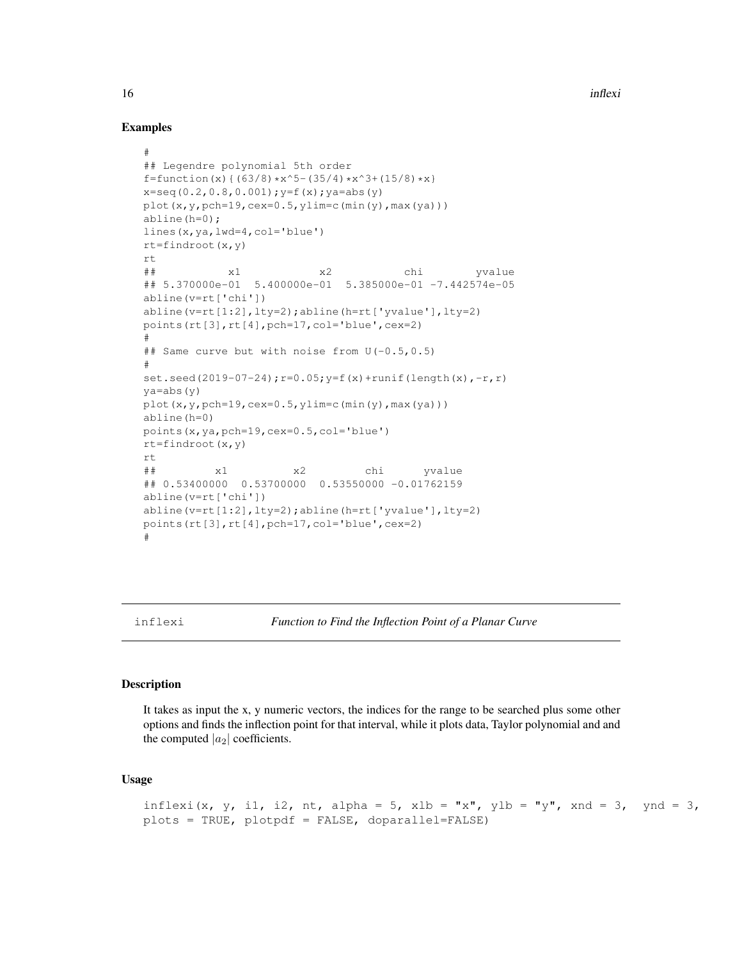### Examples

```
#
## Legendre polynomial 5th order
f=function(x){(63/8)*x^5-(35/4)*x^3+(15/8)*x}
x=seq(0.2,0.8,0.001);y=f(x);ya=abs(y)
plot(x,y,pch=19,cex=0.5,ylim=c(min(y),max(ya)))
abline(h=0);
lines(x,ya,lwd=4,col='blue')
rt=findroot(x,y)
rt
## x1 x2 chi yvalue
## 5.370000e-01 5.400000e-01 5.385000e-01 -7.442574e-05
abline(v=rt['chi'])
abline(v=rt[1:2],lty=2);abline(h=rt['yvalue'],lty=2)
points(rt[3],rt[4],pch=17,col='blue',cex=2)
#
## Same curve but with noise from U(-0.5,0.5)
#
set.seed(2019-07-24); r=0.05; y=f(x)+runif(length(x),-r,r)
ya=abs(y)
plot(x,y,pch=19,cex=0.5,ylim=c(min(y),max(ya)))
abline(h=0)
points(x,ya,pch=19,cex=0.5,col='blue')
rt=findroot(x,y)
rt
## x1 x2 chi yvalue
## 0.53400000 0.53700000 0.53550000 -0.01762159
abline(v=rt['chi'])
abline(v=rt[1:2],lty=2);abline(h=rt['yvalue'],lty=2)
points(rt[3],rt[4],pch=17,col='blue',cex=2)
#
```
inflexi *Function to Find the Inflection Point of a Planar Curve*

#### Description

It takes as input the x, y numeric vectors, the indices for the range to be searched plus some other options and finds the inflection point for that interval, while it plots data, Taylor polynomial and and the computed  $|a_2|$  coefficients.

### Usage

```
inflexi(x, y, i1, i2, nt, alpha = 5, xlb = "x", ylb = "y", xnd = 3, ynd = 3,
plots = TRUE, plotpdf = FALSE, doparallel=FALSE)
```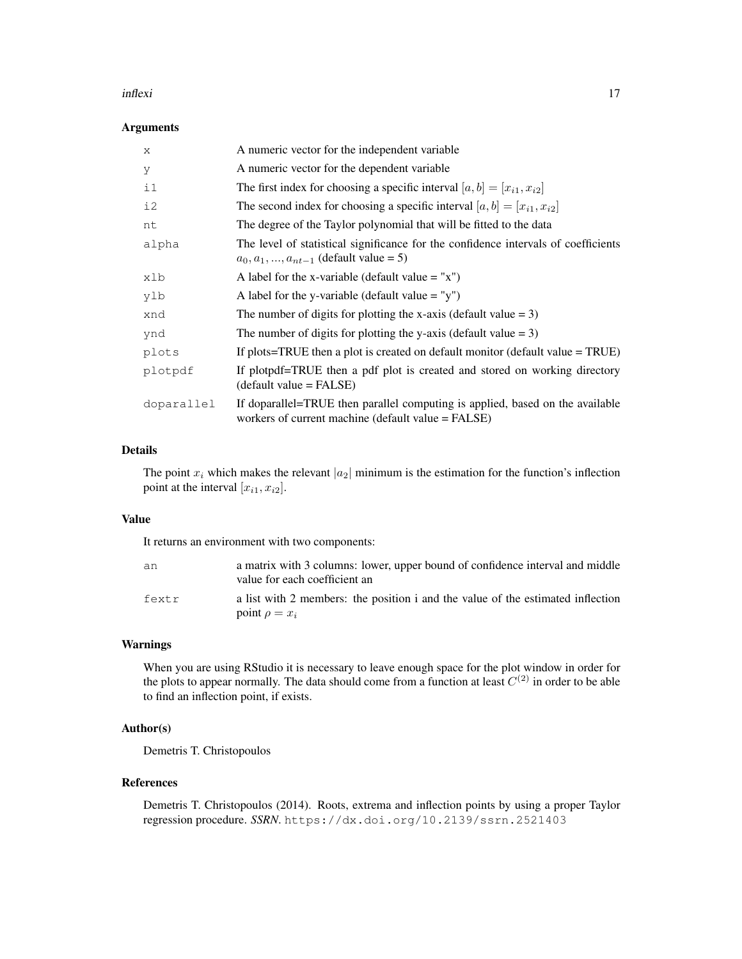#### inflexi and the contract of the contract of the contract of the contract of the contract of the contract of the contract of the contract of the contract of the contract of the contract of the contract of the contract of th

### Arguments

| X          | A numeric vector for the independent variable                                                                                         |
|------------|---------------------------------------------------------------------------------------------------------------------------------------|
| У          | A numeric vector for the dependent variable                                                                                           |
| $\pm 1$    | The first index for choosing a specific interval $[a, b] = [x_{i1}, x_{i2}]$                                                          |
| i2         | The second index for choosing a specific interval $[a, b] = [x_{i1}, x_{i2}]$                                                         |
| nt         | The degree of the Taylor polynomial that will be fitted to the data                                                                   |
| alpha      | The level of statistical significance for the confidence intervals of coefficients<br>$a_0, a_1, , a_{nt-1}$ (default value = 5)      |
| xlb        | A label for the x-variable (default value $=$ "x")                                                                                    |
| ylb        | A label for the y-variable (default value $=$ "y")                                                                                    |
| xnd        | The number of digits for plotting the x-axis (default value $= 3$ )                                                                   |
| ynd        | The number of digits for plotting the y-axis (default value $= 3$ )                                                                   |
| plots      | If plots=TRUE then a plot is created on default monitor (default value $=$ TRUE)                                                      |
| plotpdf    | If plotpdf=TRUE then a pdf plot is created and stored on working directory<br>$(detault value = FALSE)$                               |
| doparallel | If doparallel=TRUE then parallel computing is applied, based on the available<br>workers of current machine (default value $=$ FALSE) |

### Details

The point  $x_i$  which makes the relevant  $|a_2|$  minimum is the estimation for the function's inflection point at the interval  $[x_{i1}, x_{i2}]$ .

### Value

It returns an environment with two components:

| an    | a matrix with 3 columns: lower, upper bound of confidence interval and middle<br>value for each coefficient an |
|-------|----------------------------------------------------------------------------------------------------------------|
| fextr | a list with 2 members: the position i and the value of the estimated inflection<br>point $\rho = x_i$          |

### Warnings

When you are using RStudio it is necessary to leave enough space for the plot window in order for the plots to appear normally. The data should come from a function at least  $C^{(2)}$  in order to be able to find an inflection point, if exists.

### Author(s)

Demetris T. Christopoulos

### References

Demetris T. Christopoulos (2014). Roots, extrema and inflection points by using a proper Taylor regression procedure. *SSRN*. https://dx.doi.org/10.2139/ssrn.2521403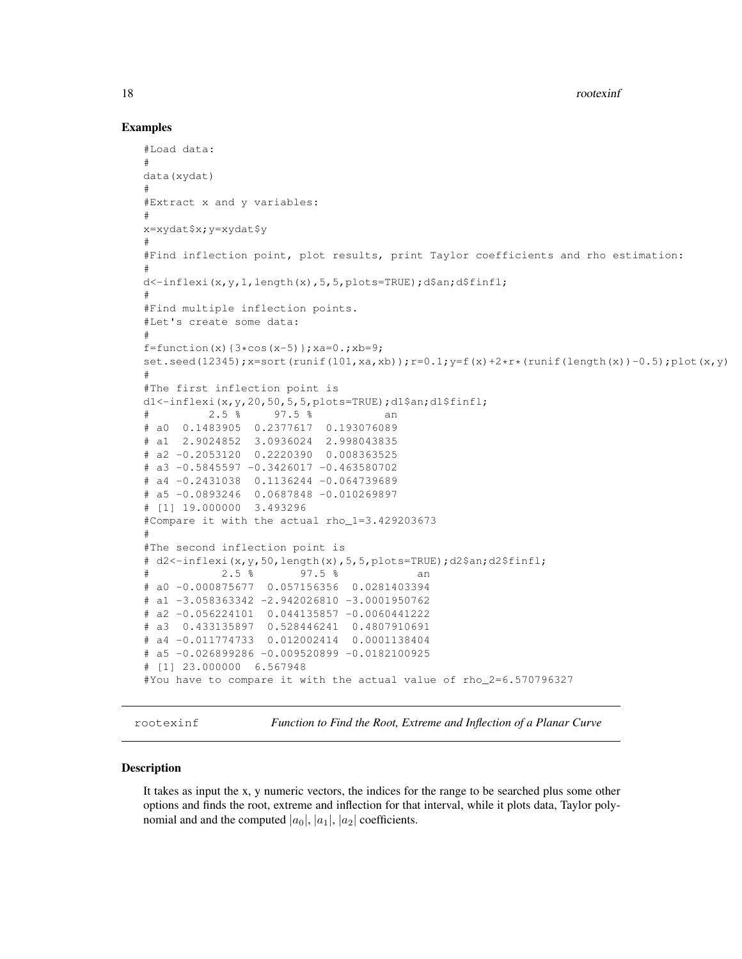18 rootexinf

### Examples

```
#Load data:
#
data(xydat)
#
#Extract x and y variables:
#
x=xydat$x;y=xydat$y
#
#Find inflection point, plot results, print Taylor coefficients and rho estimation:
#
d<-inflexi(x,y,1,length(x),5,5,plots=TRUE);d$an;d$finfl;
#
#Find multiple inflection points.
#Let's create some data:
#
f=function(x){3*cos(x-5)};xa=0.;xb=9;
set.seed(12345);x=sort(runit(101,xa,xb));r=0.1;y=f(x)+2*x*(runif(lenqth(x))-0.5);plot(x,y)#
#The first inflection point is
d1<-inflexi(x,y,20,50,5,5,plots=TRUE);d1$an;d1$finfl;
# 2.5 % 97.5 % an
# a0 0.1483905 0.2377617 0.193076089
# a1 2.9024852 3.0936024 2.998043835
# a2 -0.2053120 0.2220390 0.008363525
# a3 -0.5845597 -0.3426017 -0.463580702
# a4 -0.2431038 0.1136244 -0.064739689
# a5 -0.0893246 0.0687848 -0.010269897
# [1] 19.000000 3.493296
#Compare it with the actual rho_1=3.429203673
#
#The second inflection point is
# d2<-inflexi(x,y,50,length(x),5,5,plots=TRUE);d2$an;d2$finfl;
# 2.5 % 97.5 % an
# a0 -0.000875677 0.057156356 0.0281403394
# a1 -3.058363342 -2.942026810 -3.0001950762
# a2 -0.056224101 0.044135857 -0.0060441222
# a3 0.433135897 0.528446241 0.4807910691
# a4 -0.011774733 0.012002414 0.0001138404
# a5 -0.026899286 -0.009520899 -0.0182100925
# [1] 23.000000 6.567948
#You have to compare it with the actual value of rho_2=6.570796327
```
rootexinf *Function to Find the Root, Extreme and Inflection of a Planar Curve*

### **Description**

It takes as input the x, y numeric vectors, the indices for the range to be searched plus some other options and finds the root, extreme and inflection for that interval, while it plots data, Taylor polynomial and and the computed  $|a_0|, |a_1|, |a_2|$  coefficients.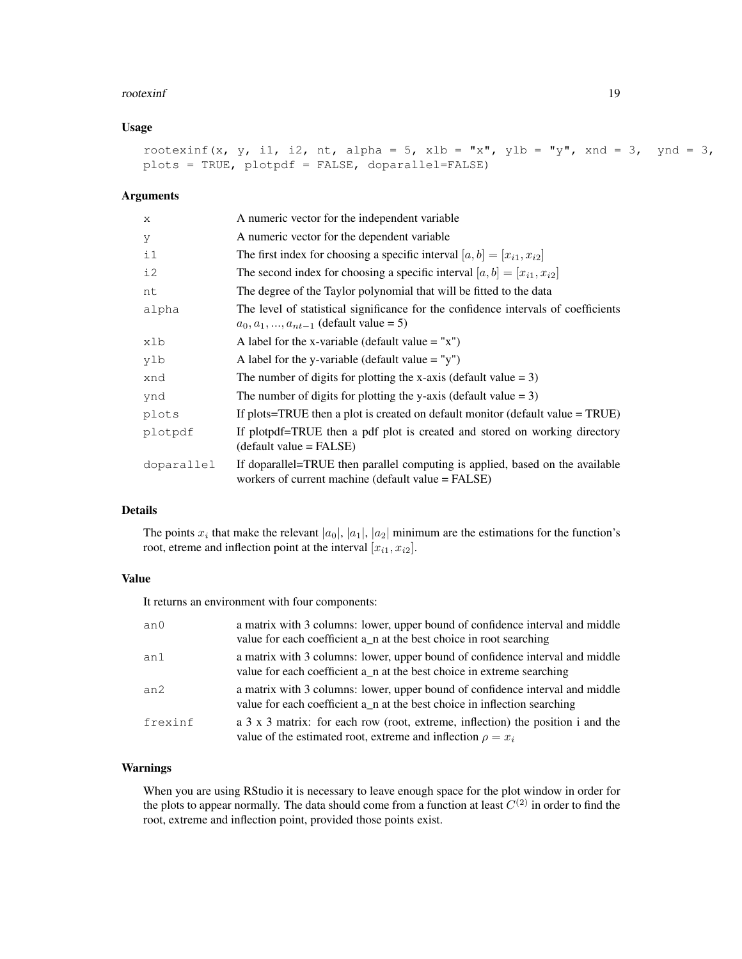#### rootexinf and the state of the state of the state of the state of the state of the state of the state of the state of the state of the state of the state of the state of the state of the state of the state of the state of

### Usage

```
rootexinf(x, y, i1, i2, nt, alpha = 5, xlb = "x", ylb = "y", xnd = 3, ynd = 3,
plots = TRUE, plotpdf = FALSE, doparallel=FALSE)
```
### Arguments

| $\mathbf{x}$ | A numeric vector for the independent variable                                                                                       |
|--------------|-------------------------------------------------------------------------------------------------------------------------------------|
| У            | A numeric vector for the dependent variable                                                                                         |
| $\pm 1$      | The first index for choosing a specific interval $[a, b] = [x_{i1}, x_{i2}]$                                                        |
| i2           | The second index for choosing a specific interval $[a, b] = [x_{i1}, x_{i2}]$                                                       |
| nt           | The degree of the Taylor polynomial that will be fitted to the data                                                                 |
| alpha        | The level of statistical significance for the confidence intervals of coefficients<br>$a_0, a_1, , a_{nt-1}$ (default value = 5)    |
| xlb          | A label for the x-variable (default value $=$ "x")                                                                                  |
| ylb          | A label for the y-variable (default value $=$ "y")                                                                                  |
| xnd          | The number of digits for plotting the x-axis (default value $= 3$ )                                                                 |
| ynd          | The number of digits for plotting the y-axis (default value $= 3$ )                                                                 |
| plots        | If plots=TRUE then a plot is created on default monitor (default value $=$ TRUE)                                                    |
| plotpdf      | If plotpdf=TRUE then a pdf plot is created and stored on working directory<br>$(detault value = FALSE)$                             |
| doparallel   | If doparallel=TRUE then parallel computing is applied, based on the available<br>workers of current machine (default value = FALSE) |

### Details

The points  $x_i$  that make the relevant  $|a_0|, |a_1|, |a_2|$  minimum are the estimations for the function's root, etreme and inflection point at the interval  $[x_{i1}, x_{i2}]$ .

### Value

It returns an environment with four components:

| an <sub>0</sub> | a matrix with 3 columns: lower, upper bound of confidence interval and middle<br>value for each coefficient a_n at the best choice in root searching       |
|-----------------|------------------------------------------------------------------------------------------------------------------------------------------------------------|
| an1             | a matrix with 3 columns: lower, upper bound of confidence interval and middle<br>value for each coefficient a_n at the best choice in extreme searching    |
| an2             | a matrix with 3 columns: lower, upper bound of confidence interval and middle<br>value for each coefficient a_n at the best choice in inflection searching |
| frexinf         | a 3 x 3 matrix: for each row (root, extreme, inflection) the position i and the<br>value of the estimated root, extreme and inflection $\rho = x_i$        |

### Warnings

When you are using RStudio it is necessary to leave enough space for the plot window in order for the plots to appear normally. The data should come from a function at least  $C^{(2)}$  in order to find the root, extreme and inflection point, provided those points exist.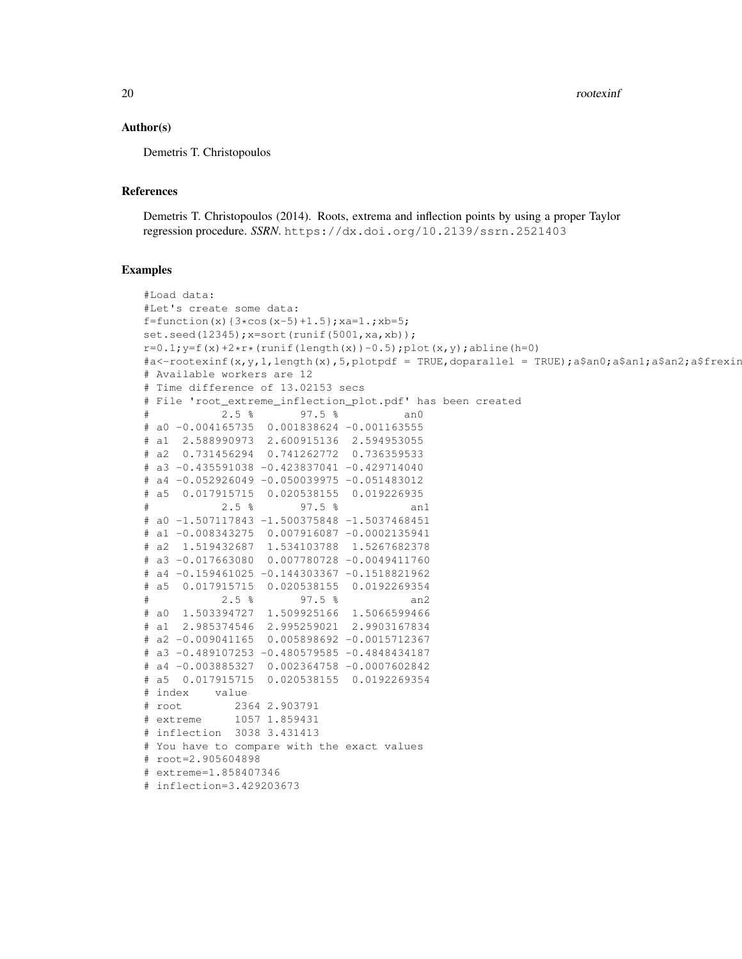20 rootexinf

### Author(s)

Demetris T. Christopoulos

### References

Demetris T. Christopoulos (2014). Roots, extrema and inflection points by using a proper Taylor regression procedure. *SSRN*. https://dx.doi.org/10.2139/ssrn.2521403

```
#Load data:
#Let's create some data:
f=function(x)\{3*cos(x-5)+1.5\}; xa=1.; xb=5;
set.seed(12345); x=sort(runif(5001, xa, xb));
r=0.1; y=f(x)+2*r*(runif(lenqth(x))-0.5); plot(x,y); abline(h=0)
#a<-rootexinf(x,y,1,length(x),5,plotpdf = TRUE,doparallel = TRUE);a$an0;a$an1;a$an2;a$frexin
# Available workers are 12
# Time difference of 13.02153 secs
# File 'root_extreme_inflection_plot.pdf' has been created
# 2.5 % 97.5 % an0
# a0 -0.004165735 0.001838624 -0.001163555
# a1 2.588990973 2.600915136 2.594953055
# a2 0.731456294 0.741262772 0.736359533
# a3 -0.435591038 -0.423837041 -0.429714040
# a4 -0.052926049 -0.050039975 -0.051483012
# a5 0.017915715 0.020538155 0.019226935
           2.5 % 97.5 % an1
# a0 -1.507117843 -1.500375848 -1.5037468451
# a1 -0.008343275 0.007916087 -0.0002135941
# a2 1.519432687 1.534103788 1.5267682378
# a3 -0.017663080 0.007780728 -0.0049411760
# a4 -0.159461025 -0.144303367 -0.1518821962
# a5 0.017915715 0.020538155 0.0192269354
           2.5 % 97.5 % an2
# a0 1.503394727 1.509925166 1.5066599466
# a1 2.985374546 2.995259021 2.9903167834
# a2 -0.009041165 0.005898692 -0.0015712367
# a3 -0.489107253 -0.480579585 -0.4848434187
# a4 -0.003885327 0.002364758 -0.0007602842
# a5 0.017915715 0.020538155 0.0192269354
# index value
# root 2364 2.903791
# extreme 1057 1.859431
# inflection 3038 3.431413
# You have to compare with the exact values
# root=2.905604898
# extreme=1.858407346
# inflection=3.429203673
```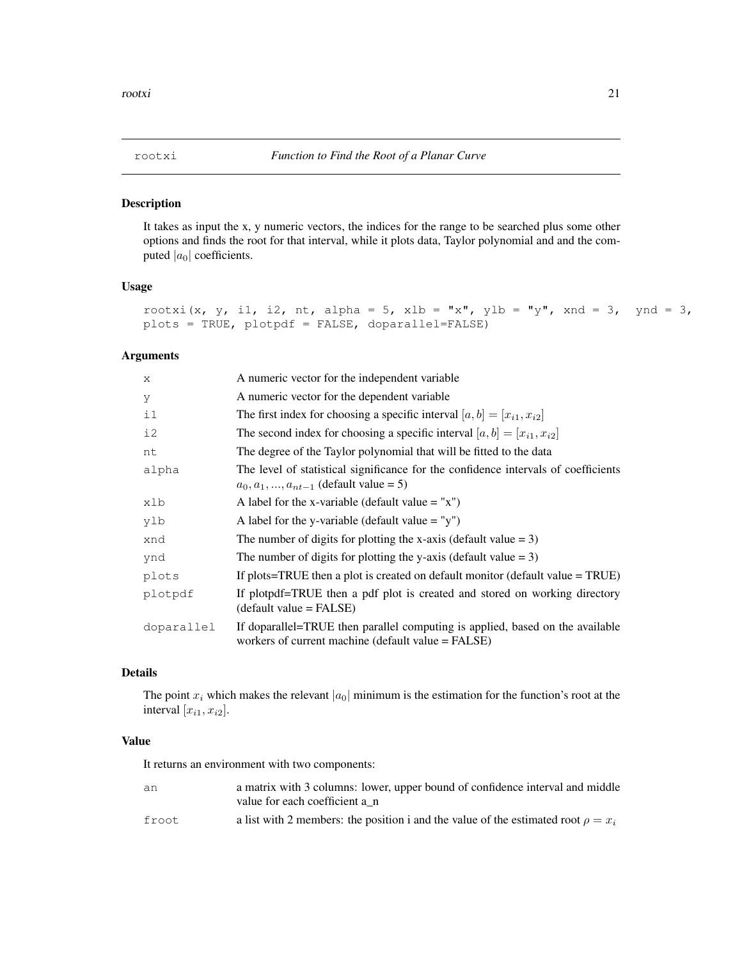### Description

It takes as input the x, y numeric vectors, the indices for the range to be searched plus some other options and finds the root for that interval, while it plots data, Taylor polynomial and and the computed  $|a_0|$  coefficients.

### Usage

```
rootxi(x, y, i1, i2, nt, alpha = 5, xlb = "x", ylb = "y", xnd = 3, ynd = 3,
plots = TRUE, plotpdf = FALSE, doparallel=FALSE)
```
### Arguments

| X          | A numeric vector for the independent variable                                                                                       |
|------------|-------------------------------------------------------------------------------------------------------------------------------------|
| У          | A numeric vector for the dependent variable                                                                                         |
| $\pm 1$    | The first index for choosing a specific interval $[a, b] = [x_{i1}, x_{i2}]$                                                        |
| i2         | The second index for choosing a specific interval $[a, b] = [x_{i1}, x_{i2}]$                                                       |
| nt         | The degree of the Taylor polynomial that will be fitted to the data                                                                 |
| alpha      | The level of statistical significance for the confidence intervals of coefficients<br>$a_0, a_1, , a_{nt-1}$ (default value = 5)    |
| xlb        | A label for the x-variable (default value $=$ "x")                                                                                  |
| ylb        | A label for the y-variable (default value = "y")                                                                                    |
| xnd        | The number of digits for plotting the x-axis (default value $= 3$ )                                                                 |
| ynd        | The number of digits for plotting the y-axis (default value $= 3$ )                                                                 |
| plots      | If plots=TRUE then a plot is created on default monitor (default value $= TRUE$ )                                                   |
| plotpdf    | If plotpdf=TRUE then a pdf plot is created and stored on working directory<br>$(detault value = FALSE)$                             |
| doparallel | If doparallel=TRUE then parallel computing is applied, based on the available<br>workers of current machine (default value = FALSE) |

### Details

The point  $x_i$  which makes the relevant  $|a_0|$  minimum is the estimation for the function's root at the interval  $[x_{i1}, x_{i2}]$ .

### Value

It returns an environment with two components:

| an     | a matrix with 3 columns: lower, upper bound of confidence interval and middle<br>value for each coefficient a n |
|--------|-----------------------------------------------------------------------------------------------------------------|
|        |                                                                                                                 |
| froot. | a list with 2 members: the position i and the value of the estimated root $\rho = x_i$                          |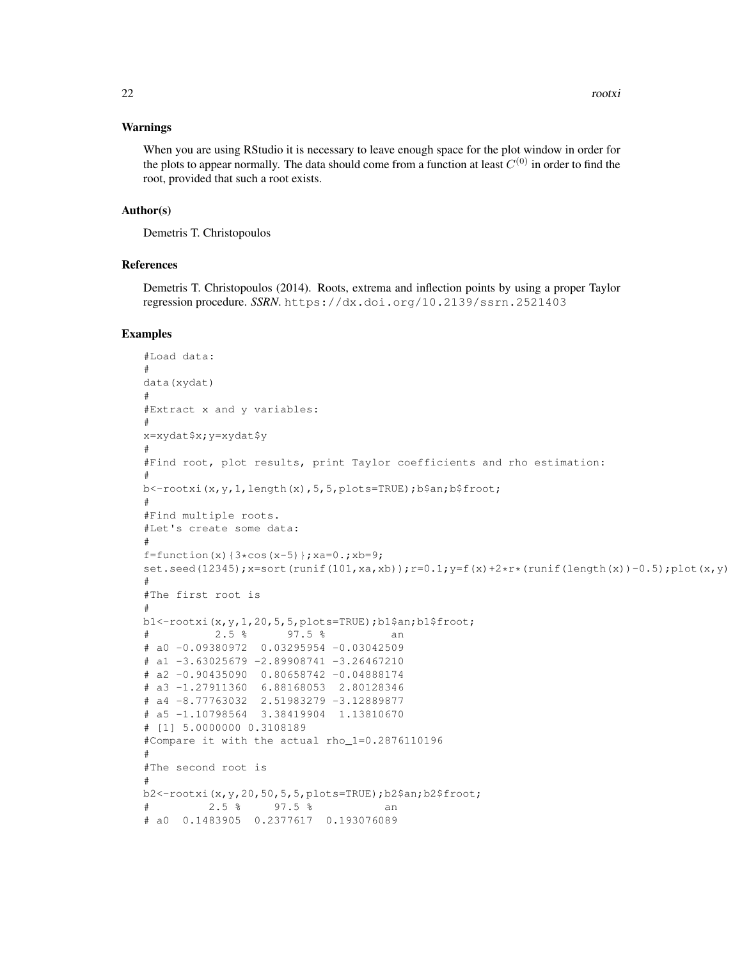### Warnings

When you are using RStudio it is necessary to leave enough space for the plot window in order for the plots to appear normally. The data should come from a function at least  $C^{(0)}$  in order to find the root, provided that such a root exists.

#### Author(s)

Demetris T. Christopoulos

### References

Demetris T. Christopoulos (2014). Roots, extrema and inflection points by using a proper Taylor regression procedure. *SSRN*. https://dx.doi.org/10.2139/ssrn.2521403

```
#Load data:
#
data(xydat)
#
#Extract x and y variables:
#
x=xydat$x;y=xydat$y
#
#Find root, plot results, print Taylor coefficients and rho estimation:
#
b<-rootxi(x,y,1,length(x),5,5,plots=TRUE);b$an;b$froot;
#
#Find multiple roots.
#Let's create some data:
#
f=function(x){3*cos(x-5)}; xa=0.; xb=9;
set.seed(12345);x=sort(runit(101,xa,xb));r=0.1;y=f(x)+2*x*(runif(lenqth(x))-0.5);plot(x,y)#
#The first root is
#
b1<-rootxi(x,y,1,20,5,5,plots=TRUE);b1$an;b1$froot;
# 2.5 % 97.5 % an
# a0 -0.09380972 0.03295954 -0.03042509
# a1 -3.63025679 -2.89908741 -3.26467210# a2 -0.90435090 0.80658742 -0.04888174
# a3 -1.27911360 6.88168053 2.80128346
# a4 -8.77763032 2.51983279 -3.12889877
# a5 -1.10798564 3.38419904 1.13810670
# [1] 5.0000000 0.3108189
#Compare it with the actual rho_1=0.2876110196
#
#The second root is
#
b2<-rootxi(x,y,20,50,5,5,plots=TRUE);b2$an;b2$froot;
# 2.5 % 97.5 % an
# a0 0.1483905 0.2377617 0.193076089
```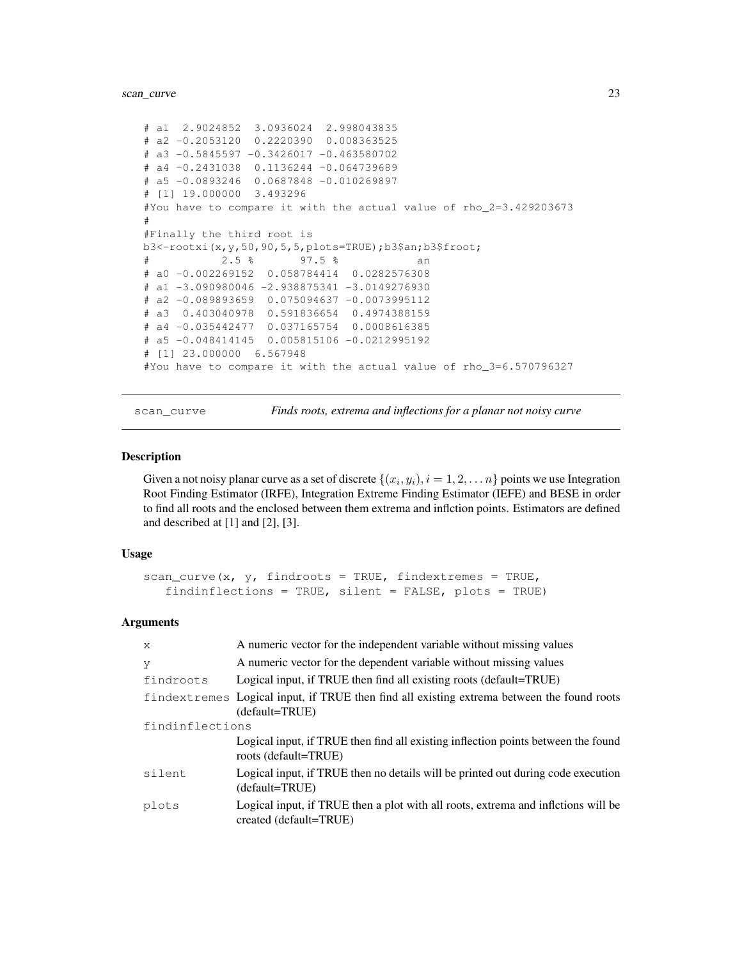### scan\_curve 23

```
# a1 2.9024852 3.0936024 2.998043835
# a2 -0.2053120 0.2220390 0.008363525
# a3 -0.5845597 -0.3426017 -0.463580702
# a4 -0.2431038 0.1136244 -0.064739689
# a5 -0.0893246 0.0687848 -0.010269897
# [1] 19.000000 3.493296
#You have to compare it with the actual value of rho_2=3.429203673
#
#Finally the third root is
b3<-rootxi(x,y,50,90,5,5,plots=TRUE);b3$an;b3$froot;
# 2.5 % 97.5 % an
# a0 -0.002269152 0.058784414 0.0282576308
# a1 -3.090980046 -2.938875341 -3.0149276930
# a2 -0.089893659 0.075094637 -0.0073995112
# a3 0.403040978 0.591836654 0.4974388159
# a4 -0.035442477 0.037165754 0.0008616385
# a5 -0.048414145 0.005815106 -0.0212995192
# [1] 23.000000 6.567948
#You have to compare it with the actual value of rho_3=6.570796327
```
scan\_curve *Finds roots, extrema and inflections for a planar not noisy curve*

#### **Description**

Given a not noisy planar curve as a set of discrete  $\{(x_i, y_i), i = 1, 2, \ldots n\}$  points we use Integration Root Finding Estimator (IRFE), Integration Extreme Finding Estimator (IEFE) and BESE in order to find all roots and the enclosed between them extrema and inflction points. Estimators are defined and described at [1] and [2], [3].

### Usage

```
scan_curve(x, y, findroots = TRUE, findextremes = TRUE,
  findinflections = TRUE, silent = FALSE, plots = TRUE)
```
#### Arguments

| X               | A numeric vector for the independent variable without missing values                                        |
|-----------------|-------------------------------------------------------------------------------------------------------------|
| V               | A numeric vector for the dependent variable without missing values                                          |
| findroots       | Logical input, if TRUE then find all existing roots (default=TRUE)                                          |
|                 | findextremes Logical input, if TRUE then find all existing extrema between the found roots                  |
|                 | (default=TRUE)                                                                                              |
| findinflections |                                                                                                             |
|                 | Logical input, if TRUE then find all existing inflection points between the found<br>roots (default=TRUE)   |
| silent          | Logical input, if TRUE then no details will be printed out during code execution<br>(default=TRUE)          |
| plots           | Logical input, if TRUE then a plot with all roots, extrema and infletions will be<br>created (default=TRUE) |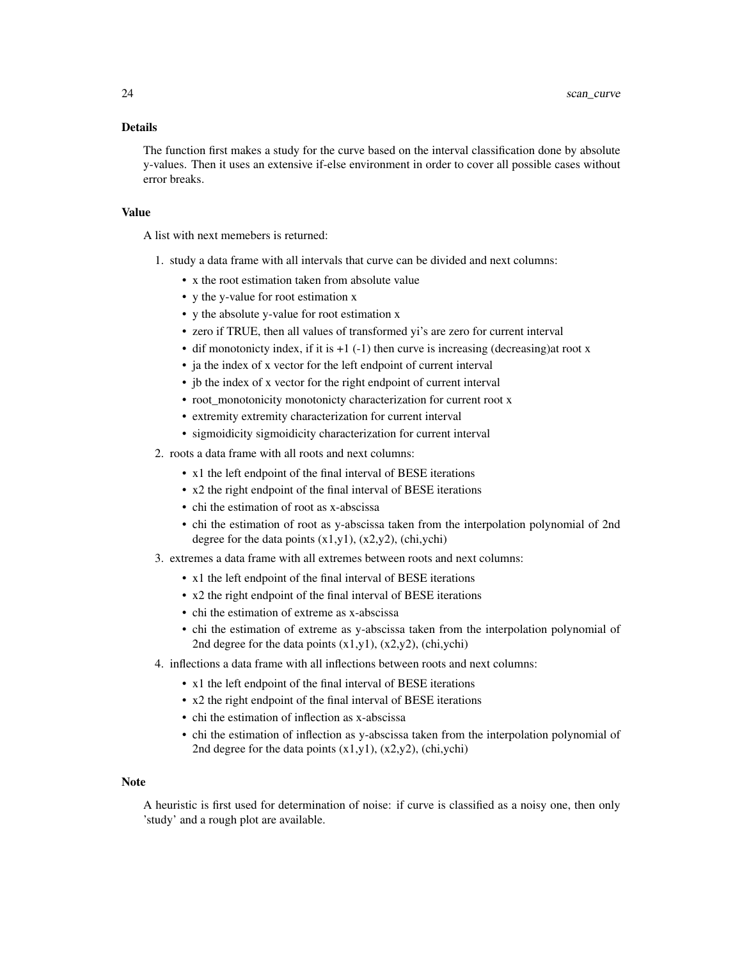### Details

The function first makes a study for the curve based on the interval classification done by absolute y-values. Then it uses an extensive if-else environment in order to cover all possible cases without error breaks.

### Value

A list with next memebers is returned:

- 1. study a data frame with all intervals that curve can be divided and next columns:
	- x the root estimation taken from absolute value
	- y the y-value for root estimation x
	- y the absolute y-value for root estimation x
	- zero if TRUE, then all values of transformed yi's are zero for current interval
	- dif monotonicty index, if it is  $+1$  (-1) then curve is increasing (decreasing)at root x
	- ja the index of x vector for the left endpoint of current interval
	- jb the index of x vector for the right endpoint of current interval
	- root\_monotonicity monotonicty characterization for current root x
	- extremity extremity characterization for current interval
	- sigmoidicity sigmoidicity characterization for current interval
- 2. roots a data frame with all roots and next columns:
	- x1 the left endpoint of the final interval of BESE iterations
	- x2 the right endpoint of the final interval of BESE iterations
	- chi the estimation of root as x-abscissa
	- chi the estimation of root as y-abscissa taken from the interpolation polynomial of 2nd degree for the data points  $(x1,y1)$ ,  $(x2,y2)$ ,  $(\text{chi},\text{ychi})$
- 3. extremes a data frame with all extremes between roots and next columns:
	- x1 the left endpoint of the final interval of BESE iterations
	- x2 the right endpoint of the final interval of BESE iterations
	- chi the estimation of extreme as x-abscissa
	- chi the estimation of extreme as y-abscissa taken from the interpolation polynomial of 2nd degree for the data points (x1,y1), (x2,y2), (chi,ychi)
- 4. inflections a data frame with all inflections between roots and next columns:
	- x1 the left endpoint of the final interval of BESE iterations
	- x2 the right endpoint of the final interval of BESE iterations
	- chi the estimation of inflection as x-abscissa
	- chi the estimation of inflection as y-abscissa taken from the interpolation polynomial of 2nd degree for the data points  $(x1,y1)$ ,  $(x2,y2)$ ,  $\frac{1}{2}$ ,  $\frac{1}{2}$

#### Note

A heuristic is first used for determination of noise: if curve is classified as a noisy one, then only 'study' and a rough plot are available.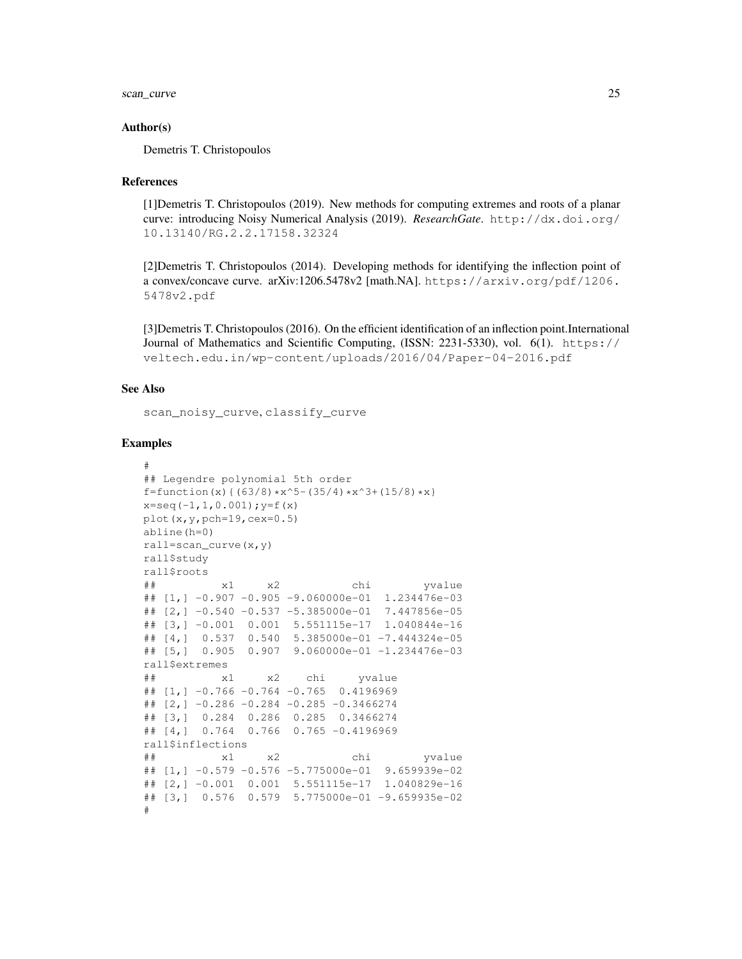scan\_curve 25

#### Author(s)

Demetris T. Christopoulos

### References

[1]Demetris T. Christopoulos (2019). New methods for computing extremes and roots of a planar curve: introducing Noisy Numerical Analysis (2019). *ResearchGate*. http://dx.doi.org/ 10.13140/RG.2.2.17158.32324

[2]Demetris T. Christopoulos (2014). Developing methods for identifying the inflection point of a convex/concave curve. arXiv:1206.5478v2 [math.NA]. https://arxiv.org/pdf/1206. 5478v2.pdf

[3]Demetris T. Christopoulos (2016). On the efficient identification of an inflection point.International Journal of Mathematics and Scientific Computing, (ISSN: 2231-5330), vol. 6(1). https:// veltech.edu.in/wp-content/uploads/2016/04/Paper-04-2016.pdf

### See Also

scan\_noisy\_curve, classify\_curve

```
#
## Legendre polynomial 5th order
f=function(x){(63/8)*x^5-(35/4)*x^3+(15/8)*x}
x=seq(-1,1,0.001); y=f(x)
plot(x,y,pch=19,cex=0.5)
abline(h=0)
rall=scan_curve(x,y)
rall$study
rall$roots
## x1 x2 chi yvalue
\# [1, ] -0.907 -0.905 -9.060000e-01 1.234476e-03
## [2,] -0.540 -0.537 -5.385000e-01 7.447856e-05
## [3,] -0.001 0.001 5.551115e-17 1.040844e-16
## [4,] 0.537 0.540 5.385000e-01 -7.444324e-05
## [5,] 0.905 0.907 9.060000e-01 -1.234476e-03
rall$extremes
## x1 x2 chi yvalue
## [1,] -0.766 -0.764 -0.765 0.4196969
## [2,] -0.286 -0.284 -0.285 -0.3466274
## [3,] 0.284 0.286 0.285 0.3466274
## [4,] 0.764 0.766 0.765 -0.4196969
rall$inflections
## x1 x2 chi yvalue
## [1,] -0.579 -0.576 -5.775000e-01 9.659939e-02
## [2,] -0.001 0.001 5.551115e-17 1.040829e-16
## [3,] 0.576 0.579 5.775000e-01 -9.659935e-02
#
```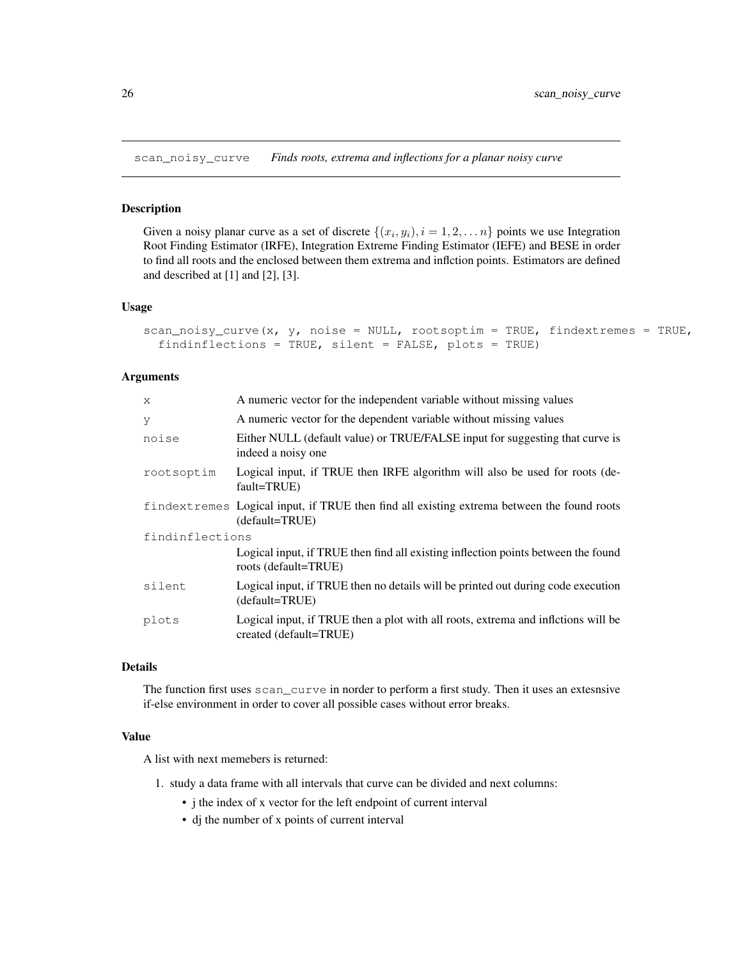scan\_noisy\_curve *Finds roots, extrema and inflections for a planar noisy curve*

#### Description

Given a noisy planar curve as a set of discrete  $\{(x_i, y_i), i = 1, 2, \dots n\}$  points we use Integration Root Finding Estimator (IRFE), Integration Extreme Finding Estimator (IEFE) and BESE in order to find all roots and the enclosed between them extrema and inflction points. Estimators are defined and described at [1] and [2], [3].

#### Usage

```
scan_noisy_curve(x, y, noise = NULL, rootsoptim = TRUE, findextremes = TRUE,
  findinflections = TRUE, silent = FALSE, plots = TRUE)
```
#### Arguments

| $\mathsf{x}$    | A numeric vector for the independent variable without missing values                                         |
|-----------------|--------------------------------------------------------------------------------------------------------------|
| y               | A numeric vector for the dependent variable without missing values                                           |
| noise           | Either NULL (default value) or TRUE/FALSE input for suggesting that curve is<br>indeed a noisy one           |
| rootsoptim      | Logical input, if TRUE then IRFE algorithm will also be used for roots (de-<br>fault=TRUE)                   |
|                 | findextremes Logical input, if TRUE then find all existing extrema between the found roots<br>(default=TRUE) |
| findinflections |                                                                                                              |
|                 | Logical input, if TRUE then find all existing inflection points between the found<br>roots (default=TRUE)    |
| silent          | Logical input, if TRUE then no details will be printed out during code execution<br>(default=TRUE)           |
| plots           | Logical input, if TRUE then a plot with all roots, extrema and infletions will be<br>created (default=TRUE)  |

### Details

The function first uses scan\_curve in norder to perform a first study. Then it uses an extesnsive if-else environment in order to cover all possible cases without error breaks.

#### Value

A list with next memebers is returned:

- 1. study a data frame with all intervals that curve can be divided and next columns:
	- j the index of x vector for the left endpoint of current interval
	- dj the number of x points of current interval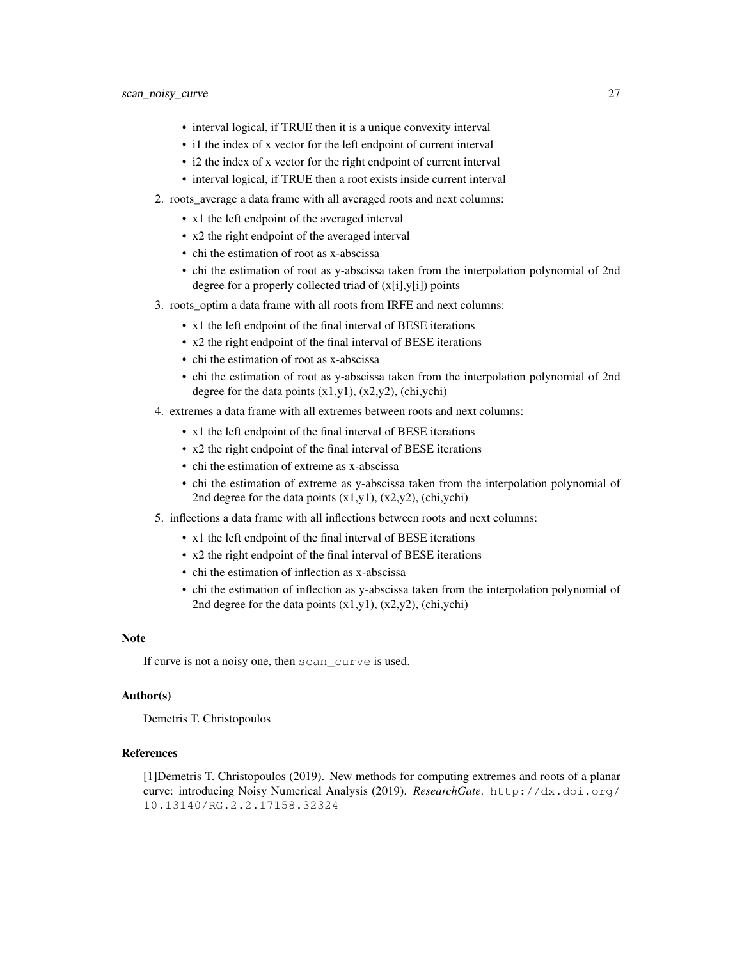- interval logical, if TRUE then it is a unique convexity interval
- i1 the index of x vector for the left endpoint of current interval
- i2 the index of x vector for the right endpoint of current interval
- interval logical, if TRUE then a root exists inside current interval
- 2. roots\_average a data frame with all averaged roots and next columns:
	- x1 the left endpoint of the averaged interval
	- x2 the right endpoint of the averaged interval
	- chi the estimation of root as x-abscissa
	- chi the estimation of root as y-abscissa taken from the interpolation polynomial of 2nd degree for a properly collected triad of (x[i],y[i]) points
- 3. roots\_optim a data frame with all roots from IRFE and next columns:
	- x1 the left endpoint of the final interval of BESE iterations
	- x2 the right endpoint of the final interval of BESE iterations
	- chi the estimation of root as x-abscissa
	- chi the estimation of root as y-abscissa taken from the interpolation polynomial of 2nd degree for the data points  $(x1,y1)$ ,  $(x2,y2)$ , (chi,ychi)
- 4. extremes a data frame with all extremes between roots and next columns:
	- x1 the left endpoint of the final interval of BESE iterations
	- x2 the right endpoint of the final interval of BESE iterations
	- chi the estimation of extreme as x-abscissa
	- chi the estimation of extreme as y-abscissa taken from the interpolation polynomial of 2nd degree for the data points  $(x1,y1)$ ,  $(x2,y2)$ ,  $(\text{chi},\text{ychi})$
- 5. inflections a data frame with all inflections between roots and next columns:
	- x1 the left endpoint of the final interval of BESE iterations
	- x2 the right endpoint of the final interval of BESE iterations
	- chi the estimation of inflection as x-abscissa
	- chi the estimation of inflection as y-abscissa taken from the interpolation polynomial of 2nd degree for the data points (x1,y1), (x2,y2), (chi,ychi)

### Note

If curve is not a noisy one, then scan curve is used.

### Author(s)

Demetris T. Christopoulos

#### References

[1]Demetris T. Christopoulos (2019). New methods for computing extremes and roots of a planar curve: introducing Noisy Numerical Analysis (2019). *ResearchGate*. http://dx.doi.org/ 10.13140/RG.2.2.17158.32324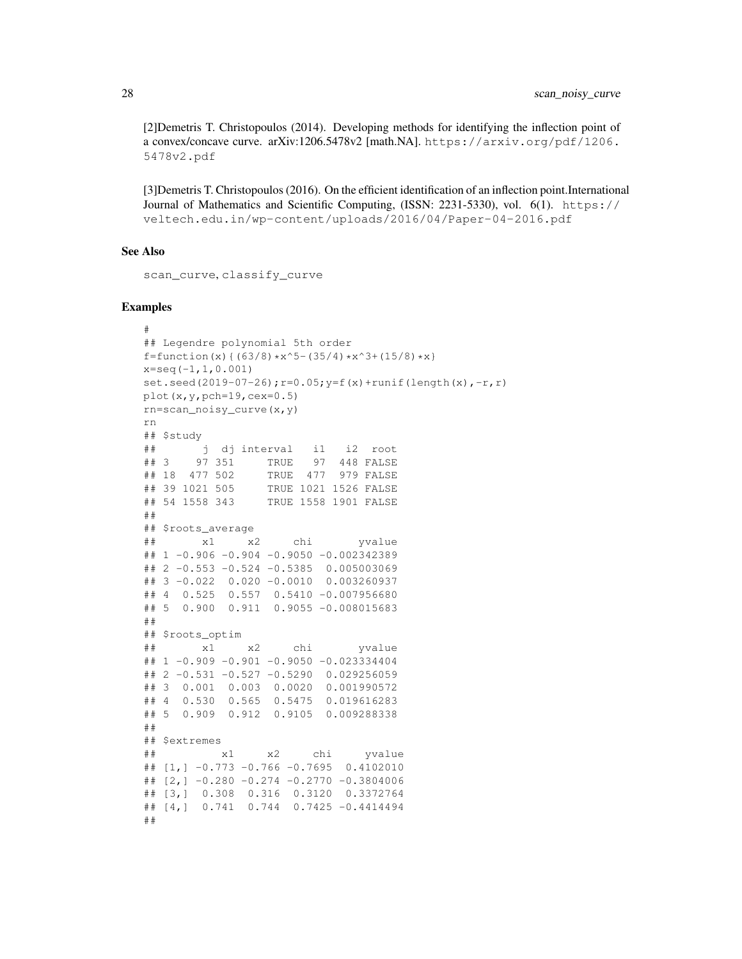[2]Demetris T. Christopoulos (2014). Developing methods for identifying the inflection point of a convex/concave curve. arXiv:1206.5478v2 [math.NA]. https://arxiv.org/pdf/1206. 5478v2.pdf

[3]Demetris T. Christopoulos (2016). On the efficient identification of an inflection point.International Journal of Mathematics and Scientific Computing, (ISSN: 2231-5330), vol. 6(1). https:// veltech.edu.in/wp-content/uploads/2016/04/Paper-04-2016.pdf

#### See Also

scan\_curve, classify\_curve

```
#
## Legendre polynomial 5th order
f=function(x){(63/8)*x^5-(35/4)*x^3+(15/8)*x}
x=seq(-1, 1, 0.001)set.seed(2019-07-26);r=0.05;y=f(x)+runif(length(x),-r,r)
plot(x,y,pch=19,cex=0.5)rn=scan_noisy_curve(x,y)
rn
## $study
## j dj interval i1 i2 root
## 3 97 351 TRUE 97 448 FALSE
## 18 477 502 TRUE 477 979 FALSE
## 39 1021 505 TRUE 1021 1526 FALSE
## 54 1558 343 TRUE 1558 1901 FALSE
##
## $roots_average
## x1 x2 chi yvalue
## 1 -0.906 -0.904 -0.9050 -0.002342389
## 2 -0.553 -0.524 -0.5385 0.005003069## 3 -0.022 0.020 -0.0010 0.003260937
## 4 0.525 0.557 0.5410 -0.007956680
## 5 0.900 0.911 0.9055 -0.008015683
##
## $roots_optim
## x1 x2 chi yvalue
## 1 -0.909 -0.901 -0.9050 -0.023334404
## 2 -0.531 -0.527 -0.5290 0.029256059
## 3 0.001 0.003 0.0020 0.001990572
## 4 0.530 0.565 0.5475 0.019616283
## 5 0.909 0.912 0.9105 0.009288338
##
## $extremes
## x1 x2 chi yvalue
\# [1, ] -0.773 -0.766 -0.7695 0.4102010
## [2,] -0.280 -0.274 -0.2770 -0.3804006
## [3,] 0.308 0.316 0.3120 0.3372764
## [4,] 0.741 0.744 0.7425 -0.4414494
##
```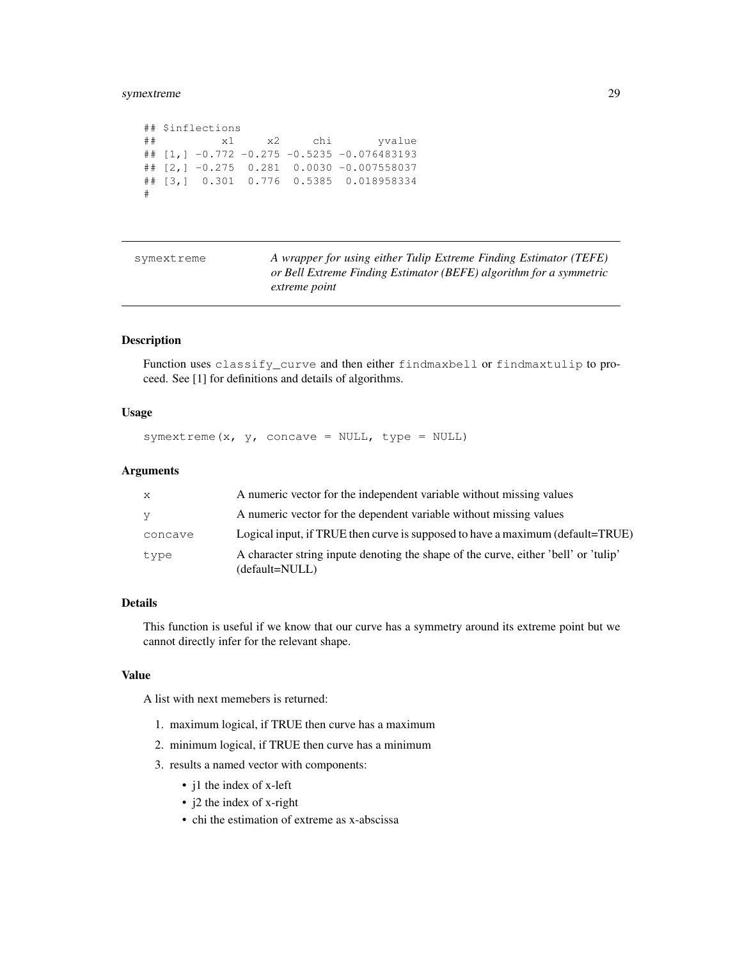### symextreme 29

```
## $inflections
## x1 x2 chi yvalue
## [1,] -0.772 -0.275 -0.5235 -0.076483193
## [2,] -0.275 0.281 0.0030 -0.007558037
## [3,] 0.301 0.776 0.5385 0.018958334
#
```

| symextreme | A wrapper for using either Tulip Extreme Finding Estimator (TEFE)  |
|------------|--------------------------------------------------------------------|
|            | or Bell Extreme Finding Estimator (BEFE) algorithm for a symmetric |
|            | extreme point                                                      |

### Description

Function uses classify\_curve and then either findmaxbell or findmaxtulip to proceed. See [1] for definitions and details of algorithms.

### Usage

```
symextreme(x, y, concave = NULL, type = NULL)
```
#### Arguments

| X.      | A numeric vector for the independent variable without missing values                                  |
|---------|-------------------------------------------------------------------------------------------------------|
| y.      | A numeric vector for the dependent variable without missing values                                    |
| concave | Logical input, if TRUE then curve is supposed to have a maximum (default=TRUE)                        |
| type    | A character string inpute denoting the shape of the curve, either 'bell' or 'tulip'<br>(default=NULL) |

### Details

This function is useful if we know that our curve has a symmetry around its extreme point but we cannot directly infer for the relevant shape.

### Value

A list with next memebers is returned:

- 1. maximum logical, if TRUE then curve has a maximum
- 2. minimum logical, if TRUE then curve has a minimum
- 3. results a named vector with components:
	- j1 the index of x-left
	- j2 the index of x-right
	- chi the estimation of extreme as x-abscissa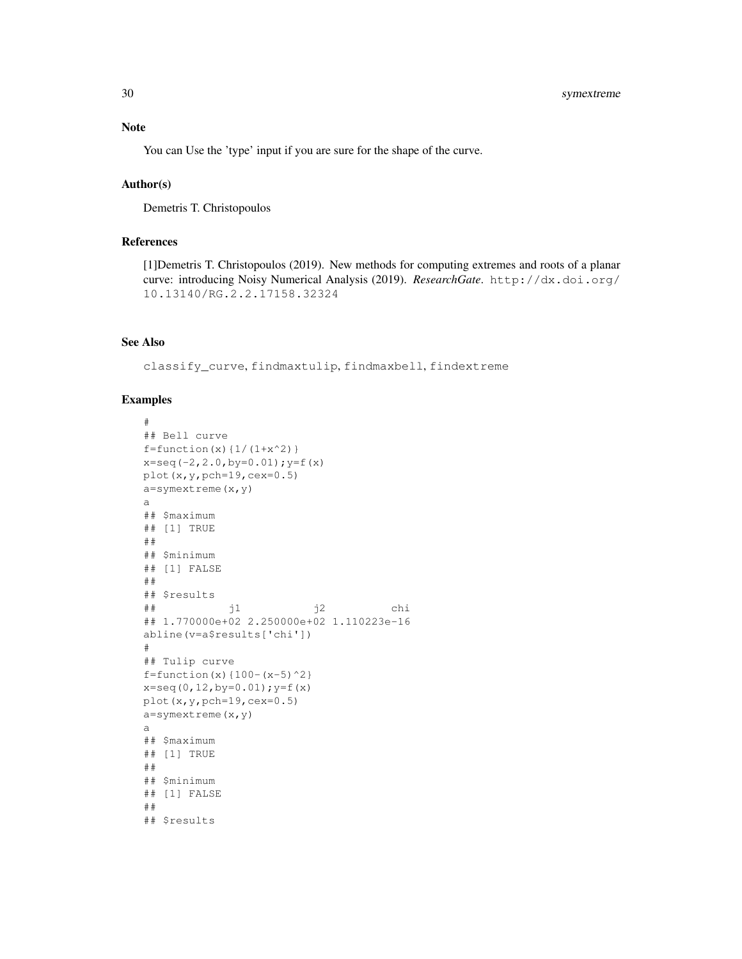### Note

You can Use the 'type' input if you are sure for the shape of the curve.

### Author(s)

Demetris T. Christopoulos

### References

[1]Demetris T. Christopoulos (2019). New methods for computing extremes and roots of a planar curve: introducing Noisy Numerical Analysis (2019). *ResearchGate*. http://dx.doi.org/ 10.13140/RG.2.2.17158.32324

### See Also

classify\_curve, findmaxtulip, findmaxbell, findextreme

```
#
## Bell curve
f=function(x)\{1/(1+x^2)\}x=seq(-2,2.0,by=0.01);y=f(x)
plot(x, y, pch=19, cex=0.5)a=symextreme(x,y)
a
## $maximum
## [1] TRUE
##
## $minimum
## [1] FALSE
##
## $results
\ddot{x} \ddot{y} \ddot{y} \ddot{y} \ddot{y} \ddot{y} \ddot{y} \ddot{y}## 1.770000e+02 2.250000e+02 1.110223e-16
abline(v=a$results['chi'])
#
## Tulip curve
f=function(x){100-(x-5)^2}x=seq(0,12,by=0.01);y=f(x)
plot(x,y,pch=19,cex=0.5)
a=symextreme(x,y)
a
## $maximum
## [1] TRUE
##
## $minimum
## [1] FALSE
##
## $results
```